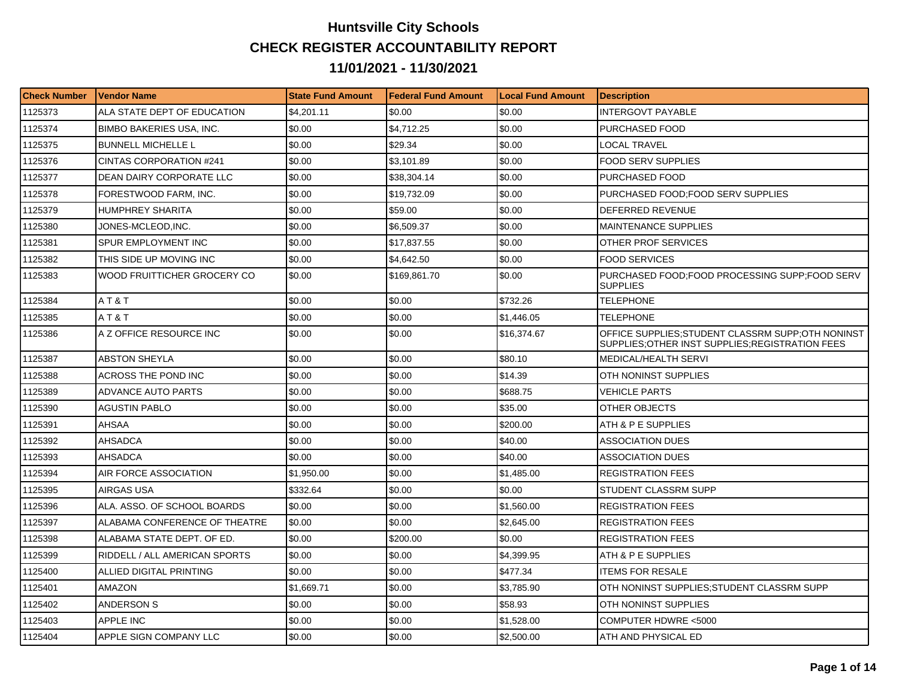## **Huntsville City Schools CHECK REGISTER ACCOUNTABILITY REPORT 11/01/2021 - 11/30/2021**

| <b>Check Number</b> | <b>Vendor Name</b>              | <b>State Fund Amount</b> | l Federal Fund Amount | <b>Local Fund Amount</b> | <b>Description</b>                                                                                     |
|---------------------|---------------------------------|--------------------------|-----------------------|--------------------------|--------------------------------------------------------------------------------------------------------|
| 1125373             | ALA STATE DEPT OF EDUCATION     | \$4,201.11               | \$0.00                | \$0.00                   | <b>INTERGOVT PAYABLE</b>                                                                               |
| 1125374             | <b>BIMBO BAKERIES USA, INC.</b> | \$0.00                   | \$4,712.25            | \$0.00                   | PURCHASED FOOD                                                                                         |
| 1125375             | <b>BUNNELL MICHELLE L</b>       | \$0.00                   | \$29.34               | \$0.00                   | LOCAL TRAVEL                                                                                           |
| 1125376             | <b>CINTAS CORPORATION #241</b>  | \$0.00                   | \$3.101.89            | \$0.00                   | <b>FOOD SERV SUPPLIES</b>                                                                              |
| 1125377             | DEAN DAIRY CORPORATE LLC        | \$0.00                   | \$38,304.14           | \$0.00                   | PURCHASED FOOD                                                                                         |
| 1125378             | FORESTWOOD FARM, INC.           | \$0.00                   | \$19,732.09           | \$0.00                   | PURCHASED FOOD:FOOD SERV SUPPLIES                                                                      |
| 1125379             | <b>HUMPHREY SHARITA</b>         | \$0.00                   | \$59.00               | \$0.00                   | <b>DEFERRED REVENUE</b>                                                                                |
| 1125380             | JONES-MCLEOD.INC.               | \$0.00                   | \$6,509.37            | \$0.00                   | <b>MAINTENANCE SUPPLIES</b>                                                                            |
| 1125381             | SPUR EMPLOYMENT INC             | \$0.00                   | \$17,837.55           | \$0.00                   | OTHER PROF SERVICES                                                                                    |
| 1125382             | THIS SIDE UP MOVING INC         | \$0.00                   | \$4,642.50            | \$0.00                   | <b>FOOD SERVICES</b>                                                                                   |
| 1125383             | WOOD FRUITTICHER GROCERY CO     | \$0.00                   | \$169,861.70          | \$0.00                   | PURCHASED FOOD:FOOD PROCESSING SUPP:FOOD SERV<br><b>SUPPLIES</b>                                       |
| 1125384             | AT&T                            | \$0.00                   | \$0.00                | \$732.26                 | <b>TELEPHONE</b>                                                                                       |
| 1125385             | AT&T                            | \$0.00                   | \$0.00                | \$1,446.05               | <b>TELEPHONE</b>                                                                                       |
| 1125386             | A Z OFFICE RESOURCE INC         | \$0.00                   | \$0.00                | \$16,374.67              | OFFICE SUPPLIES; STUDENT CLASSRM SUPP; OTH NONINST<br>SUPPLIES; OTHER INST SUPPLIES; REGISTRATION FEES |
| 1125387             | <b>ABSTON SHEYLA</b>            | \$0.00                   | \$0.00                | \$80.10                  | MEDICAL/HEALTH SERVI                                                                                   |
| 1125388             | ACROSS THE POND INC             | \$0.00                   | \$0.00                | \$14.39                  | OTH NONINST SUPPLIES                                                                                   |
| 1125389             | <b>ADVANCE AUTO PARTS</b>       | \$0.00                   | \$0.00                | \$688.75                 | <b>VEHICLE PARTS</b>                                                                                   |
| 1125390             | <b>AGUSTIN PABLO</b>            | \$0.00                   | \$0.00                | \$35.00                  | OTHER OBJECTS                                                                                          |
| 1125391             | AHSAA                           | \$0.00                   | \$0.00                | \$200.00                 | ATH & P E SUPPLIES                                                                                     |
| 1125392             | AHSADCA                         | \$0.00                   | \$0.00                | \$40.00                  | ASSOCIATION DUES                                                                                       |
| 1125393             | <b>AHSADCA</b>                  | \$0.00                   | \$0.00                | \$40.00                  | ASSOCIATION DUES                                                                                       |
| 1125394             | AIR FORCE ASSOCIATION           | \$1,950.00               | \$0.00                | \$1,485.00               | <b>REGISTRATION FEES</b>                                                                               |
| 1125395             | AIRGAS USA                      | \$332.64                 | \$0.00                | \$0.00                   | STUDENT CLASSRM SUPP                                                                                   |
| 1125396             | ALA. ASSO. OF SCHOOL BOARDS     | \$0.00                   | \$0.00                | \$1,560.00               | <b>REGISTRATION FEES</b>                                                                               |
| 1125397             | ALABAMA CONFERENCE OF THEATRE   | \$0.00                   | \$0.00                | \$2,645.00               | <b>REGISTRATION FEES</b>                                                                               |
| 1125398             | ALABAMA STATE DEPT. OF ED.      | \$0.00                   | \$200.00              | \$0.00                   | <b>REGISTRATION FEES</b>                                                                               |
| 1125399             | RIDDELL / ALL AMERICAN SPORTS   | \$0.00                   | \$0.00                | \$4,399.95               | ATH & P E SUPPLIES                                                                                     |
| 1125400             | ALLIED DIGITAL PRINTING         | \$0.00                   | \$0.00                | \$477.34                 | <b>ITEMS FOR RESALE</b>                                                                                |
| 1125401             | AMAZON                          | \$1,669.71               | \$0.00                | \$3,785.90               | OTH NONINST SUPPLIES:STUDENT CLASSRM SUPP                                                              |
| 1125402             | <b>ANDERSON S</b>               | \$0.00                   | \$0.00                | \$58.93                  | OTH NONINST SUPPLIES                                                                                   |
| 1125403             | APPLE INC                       | \$0.00                   | \$0.00                | \$1,528.00               | COMPUTER HDWRE <5000                                                                                   |
| 1125404             | APPLE SIGN COMPANY LLC          | \$0.00                   | \$0.00                | \$2,500.00               | ATH AND PHYSICAL ED                                                                                    |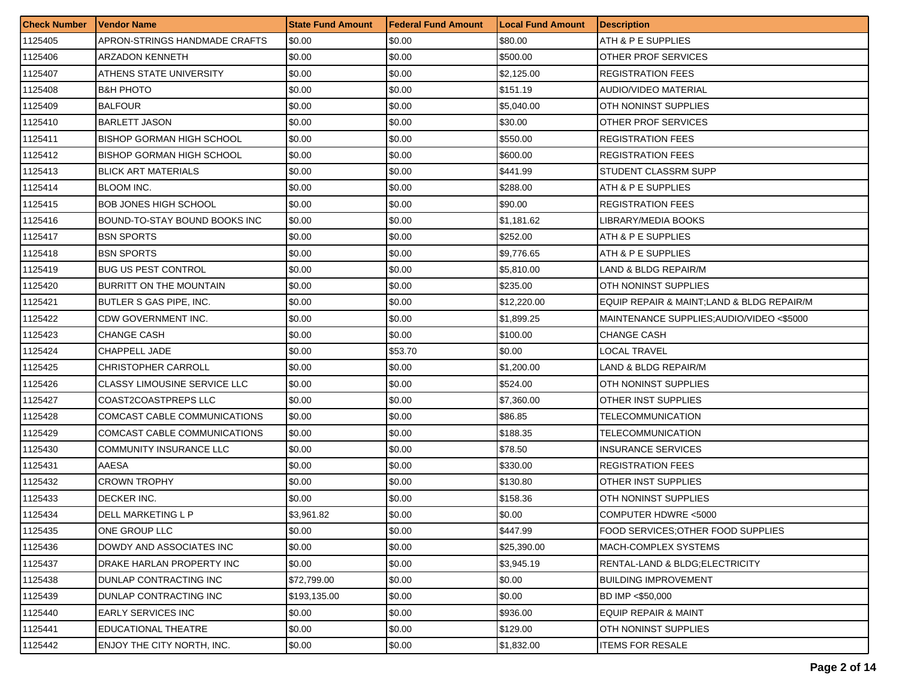| <b>Check Number</b> | Vendor Name                      | <b>State Fund Amount</b> | <b>Federal Fund Amount</b> | <b>Local Fund Amount</b> | <b>Description</b>                        |
|---------------------|----------------------------------|--------------------------|----------------------------|--------------------------|-------------------------------------------|
| 1125405             | APRON-STRINGS HANDMADE CRAFTS    | \$0.00                   | \$0.00                     | \$80.00                  | ATH & P E SUPPLIES                        |
| 1125406             | ARZADON KENNETH                  | \$0.00                   | \$0.00                     | \$500.00                 | OTHER PROF SERVICES                       |
| 1125407             | ATHENS STATE UNIVERSITY          | \$0.00                   | \$0.00                     | \$2,125.00               | <b>REGISTRATION FEES</b>                  |
| 1125408             | <b>B&amp;H PHOTO</b>             | \$0.00                   | \$0.00                     | \$151.19                 | <b>AUDIO/VIDEO MATERIAL</b>               |
| 1125409             | <b>BALFOUR</b>                   | \$0.00                   | \$0.00                     | \$5,040.00               | OTH NONINST SUPPLIES                      |
| 1125410             | <b>BARLETT JASON</b>             | \$0.00                   | \$0.00                     | \$30.00                  | OTHER PROF SERVICES                       |
| 1125411             | BISHOP GORMAN HIGH SCHOOL        | \$0.00                   | \$0.00                     | \$550.00                 | <b>REGISTRATION FEES</b>                  |
| 1125412             | <b>BISHOP GORMAN HIGH SCHOOL</b> | \$0.00                   | \$0.00                     | \$600.00                 | <b>REGISTRATION FEES</b>                  |
| 1125413             | <b>BLICK ART MATERIALS</b>       | \$0.00                   | \$0.00                     | \$441.99                 | STUDENT CLASSRM SUPP                      |
| 1125414             | <b>BLOOM INC.</b>                | \$0.00                   | \$0.00                     | \$288.00                 | ATH & P E SUPPLIES                        |
| 1125415             | BOB JONES HIGH SCHOOL            | \$0.00                   | \$0.00                     | \$90.00                  | <b>REGISTRATION FEES</b>                  |
| 1125416             | BOUND-TO-STAY BOUND BOOKS INC    | \$0.00                   | \$0.00                     | \$1,181.62               | LIBRARY/MEDIA BOOKS                       |
| 1125417             | <b>BSN SPORTS</b>                | \$0.00                   | \$0.00                     | \$252.00                 | ATH & P E SUPPLIES                        |
| 1125418             | <b>BSN SPORTS</b>                | \$0.00                   | \$0.00                     | \$9,776.65               | ATH & P E SUPPLIES                        |
| 1125419             | <b>BUG US PEST CONTROL</b>       | \$0.00                   | \$0.00                     | \$5,810.00               | LAND & BLDG REPAIR/M                      |
| 1125420             | BURRITT ON THE MOUNTAIN          | \$0.00                   | \$0.00                     | \$235.00                 | OTH NONINST SUPPLIES                      |
| 1125421             | BUTLER S GAS PIPE, INC.          | \$0.00                   | \$0.00                     | \$12,220.00              | EQUIP REPAIR & MAINT;LAND & BLDG REPAIR/M |
| 1125422             | CDW GOVERNMENT INC.              | \$0.00                   | \$0.00                     | \$1,899.25               | MAINTENANCE SUPPLIES; AUDIO/VIDEO <\$5000 |
| 1125423             | CHANGE CASH                      | \$0.00                   | \$0.00                     | \$100.00                 | <b>CHANGE CASH</b>                        |
| 1125424             | CHAPPELL JADE                    | \$0.00                   | \$53.70                    | \$0.00                   | <b>LOCAL TRAVEL</b>                       |
| 1125425             | CHRISTOPHER CARROLL              | \$0.00                   | \$0.00                     | \$1,200.00               | LAND & BLDG REPAIR/M                      |
| 1125426             | CLASSY LIMOUSINE SERVICE LLC     | \$0.00                   | \$0.00                     | \$524.00                 | OTH NONINST SUPPLIES                      |
| 1125427             | COAST2COASTPREPS LLC             | \$0.00                   | \$0.00                     | \$7,360.00               | OTHER INST SUPPLIES                       |
| 1125428             | COMCAST CABLE COMMUNICATIONS     | \$0.00                   | \$0.00                     | \$86.85                  | <b>TELECOMMUNICATION</b>                  |
| 1125429             | COMCAST CABLE COMMUNICATIONS     | \$0.00                   | \$0.00                     | \$188.35                 | <b>TELECOMMUNICATION</b>                  |
| 1125430             | COMMUNITY INSURANCE LLC          | \$0.00                   | \$0.00                     | \$78.50                  | <b>INSURANCE SERVICES</b>                 |
| 1125431             | AAESA                            | \$0.00                   | \$0.00                     | \$330.00                 | <b>REGISTRATION FEES</b>                  |
| 1125432             | <b>CROWN TROPHY</b>              | \$0.00                   | \$0.00                     | \$130.80                 | <b>OTHER INST SUPPLIES</b>                |
| 1125433             | DECKER INC.                      | \$0.00                   | \$0.00                     | \$158.36                 | OTH NONINST SUPPLIES                      |
| 1125434             | DELL MARKETING L P               | \$3,961.82               | \$0.00                     | \$0.00                   | COMPUTER HDWRE <5000                      |
| 1125435             | ONE GROUP LLC                    | \$0.00                   | \$0.00                     | \$447.99                 | FOOD SERVICES: OTHER FOOD SUPPLIES        |
| 1125436             | DOWDY AND ASSOCIATES INC         | \$0.00                   | \$0.00                     | \$25,390.00              | MACH-COMPLEX SYSTEMS                      |
| 1125437             | DRAKE HARLAN PROPERTY INC        | \$0.00                   | \$0.00                     | \$3,945.19               | RENTAL-LAND & BLDG; ELECTRICITY           |
| 1125438             | DUNLAP CONTRACTING INC           | \$72,799.00              | \$0.00                     | \$0.00                   | <b>BUILDING IMPROVEMENT</b>               |
| 1125439             | <b>DUNLAP CONTRACTING INC</b>    | \$193,135.00             | \$0.00                     | \$0.00                   | BD IMP <\$50,000                          |
| 1125440             | <b>EARLY SERVICES INC</b>        | \$0.00                   | \$0.00                     | \$936.00                 | EQUIP REPAIR & MAINT                      |
| 1125441             | EDUCATIONAL THEATRE              | \$0.00                   | \$0.00                     | \$129.00                 | OTH NONINST SUPPLIES                      |
| 1125442             | ENJOY THE CITY NORTH, INC.       | \$0.00                   | \$0.00                     | \$1,832.00               | <b>ITEMS FOR RESALE</b>                   |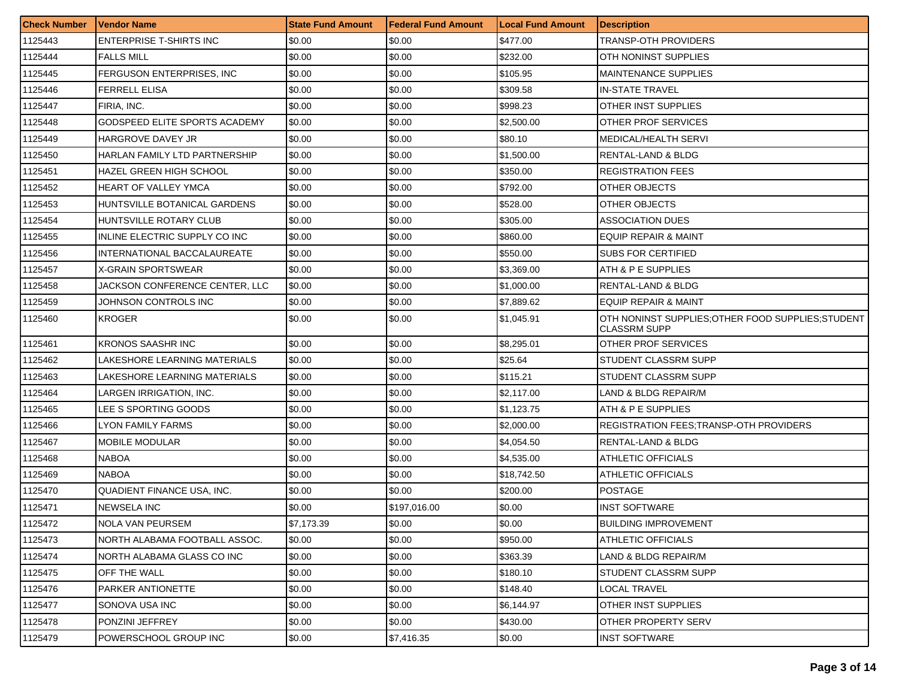| <b>Check Number</b> | <b>Vendor Name</b>                | <b>State Fund Amount</b> | Federal Fund Amount | <b>Local Fund Amount</b> | <b>Description</b>                                                      |
|---------------------|-----------------------------------|--------------------------|---------------------|--------------------------|-------------------------------------------------------------------------|
| 1125443             | <b>ENTERPRISE T-SHIRTS INC</b>    | \$0.00                   | \$0.00              | \$477.00                 | TRANSP-OTH PROVIDERS                                                    |
| 1125444             | <b>FALLS MILL</b>                 | \$0.00                   | \$0.00              | \$232.00                 | OTH NONINST SUPPLIES                                                    |
| 1125445             | FERGUSON ENTERPRISES, INC.        | \$0.00                   | \$0.00              | \$105.95                 | <b>MAINTENANCE SUPPLIES</b>                                             |
| 1125446             | <b>FERRELL ELISA</b>              | \$0.00                   | \$0.00              | \$309.58                 | <b>IN-STATE TRAVEL</b>                                                  |
| 1125447             | FIRIA, INC.                       | \$0.00                   | \$0.00              | \$998.23                 | OTHER INST SUPPLIES                                                     |
| 1125448             | GODSPEED ELITE SPORTS ACADEMY     | \$0.00                   | \$0.00              | \$2,500.00               | OTHER PROF SERVICES                                                     |
| 1125449             | HARGROVE DAVEY JR                 | \$0.00                   | \$0.00              | \$80.10                  | <b>MEDICAL/HEALTH SERVI</b>                                             |
| 1125450             | HARLAN FAMILY LTD PARTNERSHIP     | \$0.00                   | \$0.00              | \$1,500.00               | RENTAL-LAND & BLDG                                                      |
| 1125451             | <b>HAZEL GREEN HIGH SCHOOL</b>    | \$0.00                   | \$0.00              | \$350.00                 | <b>REGISTRATION FEES</b>                                                |
| 1125452             | HEART OF VALLEY YMCA              | \$0.00                   | \$0.00              | \$792.00                 | OTHER OBJECTS                                                           |
| 1125453             | HUNTSVILLE BOTANICAL GARDENS      | \$0.00                   | \$0.00              | \$528.00                 | OTHER OBJECTS                                                           |
| 1125454             | HUNTSVILLE ROTARY CLUB            | \$0.00                   | \$0.00              | \$305.00                 | <b>ASSOCIATION DUES</b>                                                 |
| 1125455             | INLINE ELECTRIC SUPPLY CO INC     | \$0.00                   | \$0.00              | \$860.00                 | <b>EQUIP REPAIR &amp; MAINT</b>                                         |
| 1125456             | INTERNATIONAL BACCALAUREATE       | \$0.00                   | \$0.00              | \$550.00                 | <b>SUBS FOR CERTIFIED</b>                                               |
| 1125457             | X-GRAIN SPORTSWEAR                | \$0.00                   | \$0.00              | \$3,369.00               | ATH & P E SUPPLIES                                                      |
| 1125458             | JACKSON CONFERENCE CENTER, LLC    | \$0.00                   | \$0.00              | \$1,000.00               | RENTAL-LAND & BLDG                                                      |
| 1125459             | JOHNSON CONTROLS INC              | \$0.00                   | \$0.00              | \$7,889.62               | <b>EQUIP REPAIR &amp; MAINT</b>                                         |
| 1125460             | <b>KROGER</b>                     | \$0.00                   | \$0.00              | \$1,045.91               | OTH NONINST SUPPLIES OTHER FOOD SUPPLIES STUDENT<br><b>CLASSRM SUPP</b> |
| 1125461             | <b>KRONOS SAASHR INC</b>          | \$0.00                   | \$0.00              | \$8,295.01               | OTHER PROF SERVICES                                                     |
| 1125462             | LAKESHORE LEARNING MATERIALS      | \$0.00                   | \$0.00              | \$25.64                  | STUDENT CLASSRM SUPP                                                    |
| 1125463             | LAKESHORE LEARNING MATERIALS      | \$0.00                   | \$0.00              | \$115.21                 | STUDENT CLASSRM SUPP                                                    |
| 1125464             | LARGEN IRRIGATION, INC.           | \$0.00                   | \$0.00              | \$2,117.00               | LAND & BLDG REPAIR/M                                                    |
| 1125465             | LEE S SPORTING GOODS              | \$0.00                   | \$0.00              | \$1,123.75               | ATH & P E SUPPLIES                                                      |
| 1125466             | <b>LYON FAMILY FARMS</b>          | \$0.00                   | \$0.00              | \$2,000.00               | <b>REGISTRATION FEES: TRANSP-OTH PROVIDERS</b>                          |
| 1125467             | <b>MOBILE MODULAR</b>             | \$0.00                   | \$0.00              | \$4,054.50               | RENTAL-LAND & BLDG                                                      |
| 1125468             | <b>NABOA</b>                      | \$0.00                   | \$0.00              | \$4.535.00               | ATHLETIC OFFICIALS                                                      |
| 1125469             | <b>NABOA</b>                      | \$0.00                   | \$0.00              | \$18,742.50              | ATHLETIC OFFICIALS                                                      |
| 1125470             | <b>QUADIENT FINANCE USA. INC.</b> | \$0.00                   | \$0.00              | \$200.00                 | <b>POSTAGE</b>                                                          |
| 1125471             | <b>NEWSELA INC</b>                | \$0.00                   | \$197,016.00        | \$0.00                   | INST SOFTWARE                                                           |
| 1125472             | NOLA VAN PEURSEM                  | \$7,173.39               | \$0.00              | \$0.00                   | <b>BUILDING IMPROVEMENT</b>                                             |
| 1125473             | NORTH ALABAMA FOOTBALL ASSOC.     | \$0.00                   | \$0.00              | \$950.00                 | ATHLETIC OFFICIALS                                                      |
| 1125474             | NORTH ALABAMA GLASS CO INC        | \$0.00                   | \$0.00              | \$363.39                 | LAND & BLDG REPAIR/M                                                    |
| 1125475             | OFF THE WALL                      | \$0.00                   | \$0.00              | \$180.10                 | STUDENT CLASSRM SUPP                                                    |
| 1125476             | PARKER ANTIONETTE                 | \$0.00                   | \$0.00              | \$148.40                 | LOCAL TRAVEL                                                            |
| 1125477             | SONOVA USA INC                    | \$0.00                   | \$0.00              | \$6,144.97               | <b>OTHER INST SUPPLIES</b>                                              |
| 1125478             | PONZINI JEFFREY                   | \$0.00                   | \$0.00              | \$430.00                 | OTHER PROPERTY SERV                                                     |
| 1125479             | POWERSCHOOL GROUP INC             | \$0.00                   | \$7,416.35          | \$0.00                   | <b>INST SOFTWARE</b>                                                    |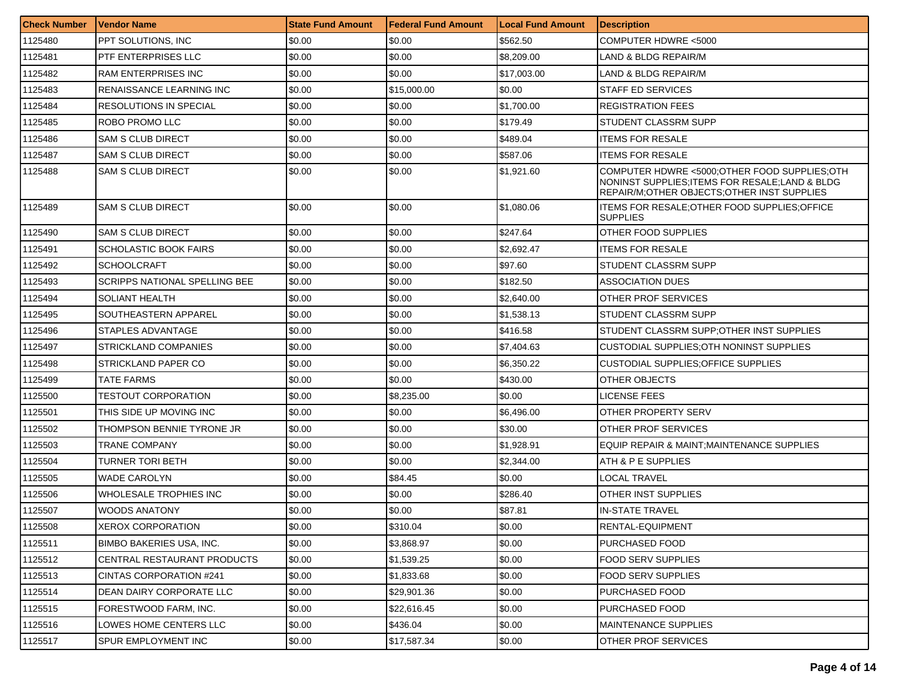| <b>Check Number</b> | Vendor Name                          | <b>State Fund Amount</b> | Federal Fund Amount | <b>Local Fund Amount</b> | <b>Description</b>                                                                                                                              |
|---------------------|--------------------------------------|--------------------------|---------------------|--------------------------|-------------------------------------------------------------------------------------------------------------------------------------------------|
| 1125480             | PPT SOLUTIONS, INC                   | \$0.00                   | \$0.00              | \$562.50                 | COMPUTER HDWRE <5000                                                                                                                            |
| 1125481             | PTF ENTERPRISES LLC                  | \$0.00                   | \$0.00              | \$8,209.00               | LAND & BLDG REPAIR/M                                                                                                                            |
| 1125482             | <b>RAM ENTERPRISES INC</b>           | \$0.00                   | \$0.00              | \$17,003.00              | LAND & BLDG REPAIR/M                                                                                                                            |
| 1125483             | RENAISSANCE LEARNING INC             | \$0.00                   | \$15,000.00         | \$0.00                   | STAFF ED SERVICES                                                                                                                               |
| 1125484             | RESOLUTIONS IN SPECIAL               | \$0.00                   | \$0.00              | \$1,700.00               | <b>REGISTRATION FEES</b>                                                                                                                        |
| 1125485             | <b>ROBO PROMO LLC</b>                | \$0.00                   | \$0.00              | \$179.49                 | STUDENT CLASSRM SUPP                                                                                                                            |
| 1125486             | <b>SAM S CLUB DIRECT</b>             | \$0.00                   | \$0.00              | \$489.04                 | <b>ITEMS FOR RESALE</b>                                                                                                                         |
| 1125487             | <b>SAM S CLUB DIRECT</b>             | \$0.00                   | \$0.00              | \$587.06                 | <b>ITEMS FOR RESALE</b>                                                                                                                         |
| 1125488             | <b>SAM S CLUB DIRECT</b>             | \$0.00                   | \$0.00              | \$1,921.60               | COMPUTER HDWRE <5000;OTHER FOOD SUPPLIES;OTH<br>NONINST SUPPLIES; ITEMS FOR RESALE; LAND & BLDG<br>REPAIR/M; OTHER OBJECTS; OTHER INST SUPPLIES |
| 1125489             | <b>SAM S CLUB DIRECT</b>             | \$0.00                   | \$0.00              | \$1,080.06               | ITEMS FOR RESALE; OTHER FOOD SUPPLIES; OFFICE<br><b>SUPPLIES</b>                                                                                |
| 1125490             | <b>SAM S CLUB DIRECT</b>             | \$0.00                   | \$0.00              | \$247.64                 | OTHER FOOD SUPPLIES                                                                                                                             |
| 1125491             | SCHOLASTIC BOOK FAIRS                | \$0.00                   | \$0.00              | \$2,692.47               | <b>ITEMS FOR RESALE</b>                                                                                                                         |
| 1125492             | <b>SCHOOLCRAFT</b>                   | \$0.00                   | \$0.00              | \$97.60                  | STUDENT CLASSRM SUPP                                                                                                                            |
| 1125493             | <b>SCRIPPS NATIONAL SPELLING BEE</b> | \$0.00                   | \$0.00              | \$182.50                 | ASSOCIATION DUES                                                                                                                                |
| 1125494             | SOLIANT HEALTH                       | \$0.00                   | \$0.00              | \$2,640.00               | OTHER PROF SERVICES                                                                                                                             |
| 1125495             | SOUTHEASTERN APPAREL                 | \$0.00                   | \$0.00              | \$1.538.13               | STUDENT CLASSRM SUPP                                                                                                                            |
| 1125496             | STAPLES ADVANTAGE                    | \$0.00                   | \$0.00              | \$416.58                 | STUDENT CLASSRM SUPP:OTHER INST SUPPLIES                                                                                                        |
| 1125497             | <b>STRICKLAND COMPANIES</b>          | \$0.00                   | \$0.00              | \$7,404.63               | CUSTODIAL SUPPLIES; OTH NONINST SUPPLIES                                                                                                        |
| 1125498             | STRICKLAND PAPER CO                  | \$0.00                   | \$0.00              | \$6,350.22               | CUSTODIAL SUPPLIES:OFFICE SUPPLIES                                                                                                              |
| 1125499             | TATE FARMS                           | \$0.00                   | \$0.00              | \$430.00                 | OTHER OBJECTS                                                                                                                                   |
| 1125500             | <b>TESTOUT CORPORATION</b>           | \$0.00                   | \$8,235.00          | \$0.00                   | LICENSE FEES                                                                                                                                    |
| 1125501             | THIS SIDE UP MOVING INC              | \$0.00                   | \$0.00              | \$6,496.00               | OTHER PROPERTY SERV                                                                                                                             |
| 1125502             | THOMPSON BENNIE TYRONE JR            | \$0.00                   | \$0.00              | \$30.00                  | OTHER PROF SERVICES                                                                                                                             |
| 1125503             | TRANE COMPANY                        | \$0.00                   | \$0.00              | \$1,928.91               | EQUIP REPAIR & MAINT; MAINTENANCE SUPPLIES                                                                                                      |
| 1125504             | TURNER TORI BETH                     | \$0.00                   | \$0.00              | \$2,344.00               | ATH & P E SUPPLIES                                                                                                                              |
| 1125505             | <b>WADE CAROLYN</b>                  | \$0.00                   | \$84.45             | \$0.00                   | <b>LOCAL TRAVEL</b>                                                                                                                             |
| 1125506             | WHOLESALE TROPHIES INC               | \$0.00                   | \$0.00              | \$286.40                 | OTHER INST SUPPLIES                                                                                                                             |
| 1125507             | <b>WOODS ANATONY</b>                 | \$0.00                   | \$0.00              | \$87.81                  | IN-STATE TRAVEL                                                                                                                                 |
| 1125508             | XEROX CORPORATION                    | \$0.00                   | \$310.04            | \$0.00                   | RENTAL-EQUIPMENT                                                                                                                                |
| 1125511             | BIMBO BAKERIES USA, INC.             | \$0.00                   | \$3,868.97          | \$0.00                   | PURCHASED FOOD                                                                                                                                  |
| 1125512             | CENTRAL RESTAURANT PRODUCTS          | \$0.00                   | \$1,539.25          | \$0.00                   | <b>FOOD SERV SUPPLIES</b>                                                                                                                       |
| 1125513             | CINTAS CORPORATION #241              | \$0.00                   | \$1,833.68          | \$0.00                   | <b>FOOD SERV SUPPLIES</b>                                                                                                                       |
| 1125514             | DEAN DAIRY CORPORATE LLC             | \$0.00                   | \$29,901.36         | \$0.00                   | PURCHASED FOOD                                                                                                                                  |
| 1125515             | FORESTWOOD FARM, INC.                | \$0.00                   | \$22,616.45         | \$0.00                   | PURCHASED FOOD                                                                                                                                  |
| 1125516             | LOWES HOME CENTERS LLC               | \$0.00                   | \$436.04            | \$0.00                   | MAINTENANCE SUPPLIES                                                                                                                            |
| 1125517             | SPUR EMPLOYMENT INC                  | \$0.00                   | \$17,587.34         | \$0.00                   | OTHER PROF SERVICES                                                                                                                             |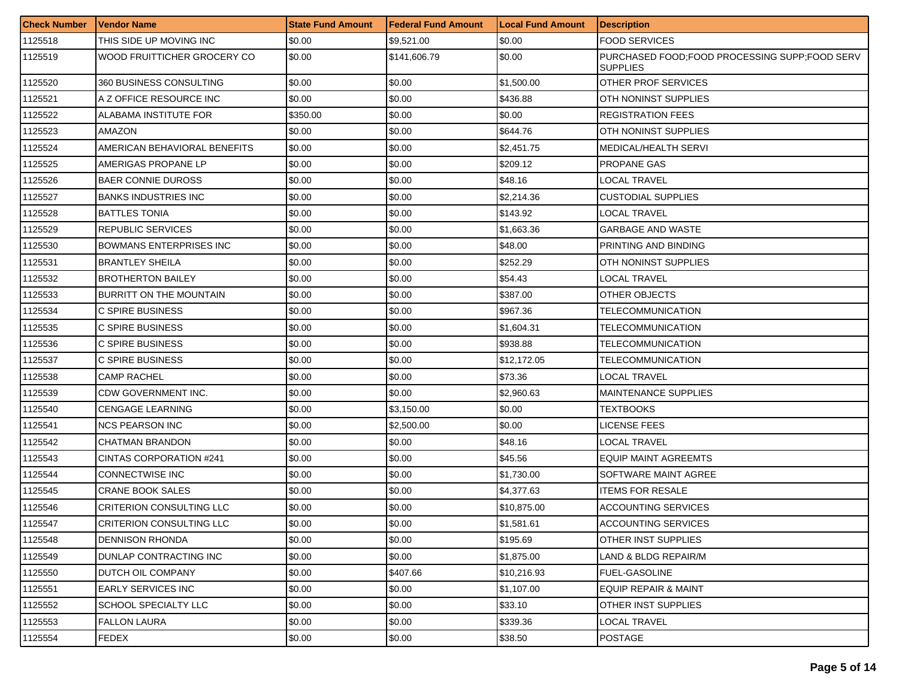| <b>Check Number</b> | <b>Vendor Name</b>              | <b>State Fund Amount</b> | Federal Fund Amount | <b>Local Fund Amount</b> | <b>Description</b>                                                 |
|---------------------|---------------------------------|--------------------------|---------------------|--------------------------|--------------------------------------------------------------------|
| 1125518             | THIS SIDE UP MOVING INC         | \$0.00                   | \$9,521.00          | \$0.00                   | <b>FOOD SERVICES</b>                                               |
| 1125519             | WOOD FRUITTICHER GROCERY CO     | \$0.00                   | \$141,606.79        | \$0.00                   | PURCHASED FOOD; FOOD PROCESSING SUPP; FOOD SERV<br><b>SUPPLIES</b> |
| 1125520             | 360 BUSINESS CONSULTING         | \$0.00                   | \$0.00              | \$1,500.00               | OTHER PROF SERVICES                                                |
| 1125521             | A Z OFFICE RESOURCE INC         | \$0.00                   | \$0.00              | \$436.88                 | OTH NONINST SUPPLIES                                               |
| 1125522             | ALABAMA INSTITUTE FOR           | \$350.00                 | \$0.00              | \$0.00                   | <b>REGISTRATION FEES</b>                                           |
| 1125523             | AMAZON                          | \$0.00                   | \$0.00              | \$644.76                 | OTH NONINST SUPPLIES                                               |
| 1125524             | AMERICAN BEHAVIORAL BENEFITS    | \$0.00                   | \$0.00              | \$2,451.75               | MEDICAL/HEALTH SERVI                                               |
| 1125525             | AMERIGAS PROPANE LP             | \$0.00                   | \$0.00              | \$209.12                 | PROPANE GAS                                                        |
| 1125526             | <b>BAER CONNIE DUROSS</b>       | \$0.00                   | \$0.00              | \$48.16                  | LOCAL TRAVEL                                                       |
| 1125527             | <b>BANKS INDUSTRIES INC</b>     | \$0.00                   | \$0.00              | \$2,214.36               | CUSTODIAL SUPPLIES                                                 |
| 1125528             | <b>BATTLES TONIA</b>            | \$0.00                   | \$0.00              | \$143.92                 | LOCAL TRAVEL                                                       |
| 1125529             | <b>REPUBLIC SERVICES</b>        | \$0.00                   | \$0.00              | \$1,663.36               | GARBAGE AND WASTE                                                  |
| 1125530             | <b>BOWMANS ENTERPRISES INC</b>  | \$0.00                   | \$0.00              | \$48.00                  | PRINTING AND BINDING                                               |
| 1125531             | <b>BRANTLEY SHEILA</b>          | \$0.00                   | \$0.00              | \$252.29                 | OTH NONINST SUPPLIES                                               |
| 1125532             | <b>BROTHERTON BAILEY</b>        | \$0.00                   | \$0.00              | \$54.43                  | <b>LOCAL TRAVEL</b>                                                |
| 1125533             | BURRITT ON THE MOUNTAIN         | \$0.00                   | \$0.00              | \$387.00                 | OTHER OBJECTS                                                      |
| 1125534             | C SPIRE BUSINESS                | \$0.00                   | \$0.00              | \$967.36                 | TELECOMMUNICATION                                                  |
| 1125535             | C SPIRE BUSINESS                | \$0.00                   | \$0.00              | \$1,604.31               | TELECOMMUNICATION                                                  |
| 1125536             | C SPIRE BUSINESS                | \$0.00                   | \$0.00              | \$938.88                 | TELECOMMUNICATION                                                  |
| 1125537             | C SPIRE BUSINESS                | \$0.00                   | \$0.00              | \$12,172.05              | TELECOMMUNICATION                                                  |
| 1125538             | <b>CAMP RACHEL</b>              | \$0.00                   | \$0.00              | \$73.36                  | LOCAL TRAVEL                                                       |
| 1125539             | CDW GOVERNMENT INC.             | \$0.00                   | \$0.00              | \$2,960.63               | <b>MAINTENANCE SUPPLIES</b>                                        |
| 1125540             | <b>CENGAGE LEARNING</b>         | \$0.00                   | \$3,150.00          | \$0.00                   | TEXTBOOKS                                                          |
| 1125541             | <b>NCS PEARSON INC</b>          | \$0.00                   | \$2,500.00          | \$0.00                   | LICENSE FEES                                                       |
| 1125542             | <b>CHATMAN BRANDON</b>          | \$0.00                   | \$0.00              | \$48.16                  | <b>LOCAL TRAVEL</b>                                                |
| 1125543             | CINTAS CORPORATION #241         | \$0.00                   | \$0.00              | \$45.56                  | EQUIP MAINT AGREEMTS                                               |
| 1125544             | CONNECTWISE INC                 | \$0.00                   | \$0.00              | \$1,730.00               | SOFTWARE MAINT AGREE                                               |
| 1125545             | <b>CRANE BOOK SALES</b>         | \$0.00                   | \$0.00              | \$4,377.63               | <b>ITEMS FOR RESALE</b>                                            |
| 1125546             | <b>CRITERION CONSULTING LLC</b> | \$0.00                   | \$0.00              | \$10,875.00              | <b>ACCOUNTING SERVICES</b>                                         |
| 1125547             | CRITERION CONSULTING LLC        | \$0.00                   | \$0.00              | \$1,581.61               | ACCOUNTING SERVICES                                                |
| 1125548             | <b>DENNISON RHONDA</b>          | \$0.00                   | \$0.00              | \$195.69                 | OTHER INST SUPPLIES                                                |
| 1125549             | DUNLAP CONTRACTING INC          | \$0.00                   | \$0.00              | \$1,875.00               | LAND & BLDG REPAIR/M                                               |
| 1125550             | <b>DUTCH OIL COMPANY</b>        | \$0.00                   | \$407.66            | \$10,216.93              | <b>FUEL-GASOLINE</b>                                               |
| 1125551             | <b>EARLY SERVICES INC</b>       | \$0.00                   | \$0.00              | \$1,107.00               | EQUIP REPAIR & MAINT                                               |
| 1125552             | SCHOOL SPECIALTY LLC            | \$0.00                   | \$0.00              | \$33.10                  | OTHER INST SUPPLIES                                                |
| 1125553             | <b>FALLON LAURA</b>             | \$0.00                   | \$0.00              | \$339.36                 | LOCAL TRAVEL                                                       |
| 1125554             | FEDEX                           | \$0.00                   | \$0.00              | \$38.50                  | <b>POSTAGE</b>                                                     |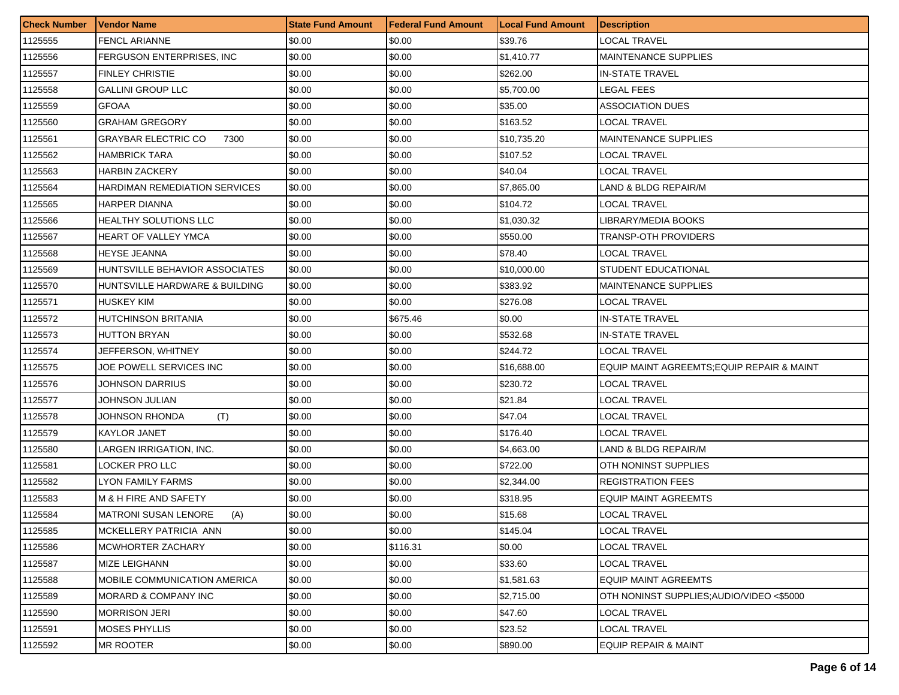| <b>Check Number</b> | <b>Vendor Name</b>                  | <b>State Fund Amount</b> | <b>Federal Fund Amount</b> | <b>Local Fund Amount</b> | <b>Description</b>                         |
|---------------------|-------------------------------------|--------------------------|----------------------------|--------------------------|--------------------------------------------|
| 1125555             | <b>FENCL ARIANNE</b>                | \$0.00                   | \$0.00                     | \$39.76                  | LOCAL TRAVEL                               |
| 1125556             | <b>FERGUSON ENTERPRISES. INC</b>    | \$0.00                   | \$0.00                     | \$1,410.77               | <b>MAINTENANCE SUPPLIES</b>                |
| 1125557             | <b>FINLEY CHRISTIE</b>              | \$0.00                   | \$0.00                     | \$262.00                 | <b>IN-STATE TRAVEL</b>                     |
| 1125558             | <b>GALLINI GROUP LLC</b>            | \$0.00                   | \$0.00                     | \$5,700.00               | LEGAL FEES                                 |
| 1125559             | GFOAA                               | \$0.00                   | \$0.00                     | \$35.00                  | ASSOCIATION DUES                           |
| 1125560             | <b>GRAHAM GREGORY</b>               | \$0.00                   | \$0.00                     | \$163.52                 | LOCAL TRAVEL                               |
| 1125561             | <b>GRAYBAR ELECTRIC CO</b><br>7300  | \$0.00                   | \$0.00                     | \$10,735.20              | MAINTENANCE SUPPLIES                       |
| 1125562             | <b>HAMBRICK TARA</b>                | \$0.00                   | \$0.00                     | \$107.52                 | LOCAL TRAVEL                               |
| 1125563             | <b>HARBIN ZACKERY</b>               | \$0.00                   | \$0.00                     | \$40.04                  | LOCAL TRAVEL                               |
| 1125564             | HARDIMAN REMEDIATION SERVICES       | \$0.00                   | \$0.00                     | \$7,865.00               | LAND & BLDG REPAIR/M                       |
| 1125565             | <b>HARPER DIANNA</b>                | \$0.00                   | \$0.00                     | \$104.72                 | LOCAL TRAVEL                               |
| 1125566             | <b>HEALTHY SOLUTIONS LLC</b>        | \$0.00                   | \$0.00                     | \$1,030.32               | LIBRARY/MEDIA BOOKS                        |
| 1125567             | <b>HEART OF VALLEY YMCA</b>         | \$0.00                   | \$0.00                     | \$550.00                 | TRANSP-OTH PROVIDERS                       |
| 1125568             | <b>HEYSE JEANNA</b>                 | \$0.00                   | \$0.00                     | \$78.40                  | LOCAL TRAVEL                               |
| 1125569             | HUNTSVILLE BEHAVIOR ASSOCIATES      | \$0.00                   | \$0.00                     | \$10,000.00              | STUDENT EDUCATIONAL                        |
| 1125570             | HUNTSVILLE HARDWARE & BUILDING      | \$0.00                   | \$0.00                     | \$383.92                 | MAINTENANCE SUPPLIES                       |
| 1125571             | HUSKEY KIM                          | \$0.00                   | \$0.00                     | \$276.08                 | LOCAL TRAVEL                               |
| 1125572             | <b>HUTCHINSON BRITANIA</b>          | \$0.00                   | \$675.46                   | \$0.00                   | IN-STATE TRAVEL                            |
| 1125573             | <b>HUTTON BRYAN</b>                 | \$0.00                   | \$0.00                     | \$532.68                 | <b>IN-STATE TRAVEL</b>                     |
| 1125574             | JEFFERSON, WHITNEY                  | \$0.00                   | \$0.00                     | \$244.72                 | LOCAL TRAVEL                               |
| 1125575             | JOE POWELL SERVICES INC             | \$0.00                   | \$0.00                     | \$16,688.00              | EQUIP MAINT AGREEMTS; EQUIP REPAIR & MAINT |
| 1125576             | JOHNSON DARRIUS                     | \$0.00                   | \$0.00                     | \$230.72                 | LOCAL TRAVEL                               |
| 1125577             | JOHNSON JULIAN                      | \$0.00                   | \$0.00                     | \$21.84                  | LOCAL TRAVEL                               |
| 1125578             | JOHNSON RHONDA<br>(T)               | \$0.00                   | \$0.00                     | \$47.04                  | LOCAL TRAVEL                               |
| 1125579             | <b>KAYLOR JANET</b>                 | \$0.00                   | \$0.00                     | \$176.40                 | LOCAL TRAVEL                               |
| 1125580             | LARGEN IRRIGATION, INC.             | \$0.00                   | \$0.00                     | \$4,663.00               | LAND & BLDG REPAIR/M                       |
| 1125581             | LOCKER PRO LLC                      | \$0.00                   | \$0.00                     | \$722.00                 | OTH NONINST SUPPLIES                       |
| 1125582             | <b>LYON FAMILY FARMS</b>            | \$0.00                   | \$0.00                     | \$2,344.00               | REGISTRATION FEES                          |
| 1125583             | M & H FIRE AND SAFETY               | \$0.00                   | \$0.00                     | \$318.95                 | EQUIP MAINT AGREEMTS                       |
| 1125584             | <b>MATRONI SUSAN LENORE</b><br>(A)  | \$0.00                   | \$0.00                     | \$15.68                  | LOCAL TRAVEL                               |
| 1125585             | MCKELLERY PATRICIA ANN              | \$0.00                   | \$0.00                     | \$145.04                 | LOCAL TRAVEL                               |
| 1125586             | MCWHORTER ZACHARY                   | \$0.00                   | \$116.31                   | \$0.00                   | <b>LOCAL TRAVEL</b>                        |
| 1125587             | MIZE LEIGHANN                       | \$0.00                   | \$0.00                     | \$33.60                  | LOCAL TRAVEL                               |
| 1125588             | <b>MOBILE COMMUNICATION AMERICA</b> | \$0.00                   | \$0.00                     | \$1,581.63               | EQUIP MAINT AGREEMTS                       |
| 1125589             | MORARD & COMPANY INC                | \$0.00                   | \$0.00                     | \$2,715.00               | OTH NONINST SUPPLIES:AUDIO/VIDEO <\$5000   |
| 1125590             | <b>MORRISON JERI</b>                | \$0.00                   | \$0.00                     | \$47.60                  | LOCAL TRAVEL                               |
| 1125591             | MOSES PHYLLIS                       | \$0.00                   | \$0.00                     | \$23.52                  | <b>LOCAL TRAVEL</b>                        |
| 1125592             | <b>MR ROOTER</b>                    | \$0.00                   | \$0.00                     | \$890.00                 | <b>EQUIP REPAIR &amp; MAINT</b>            |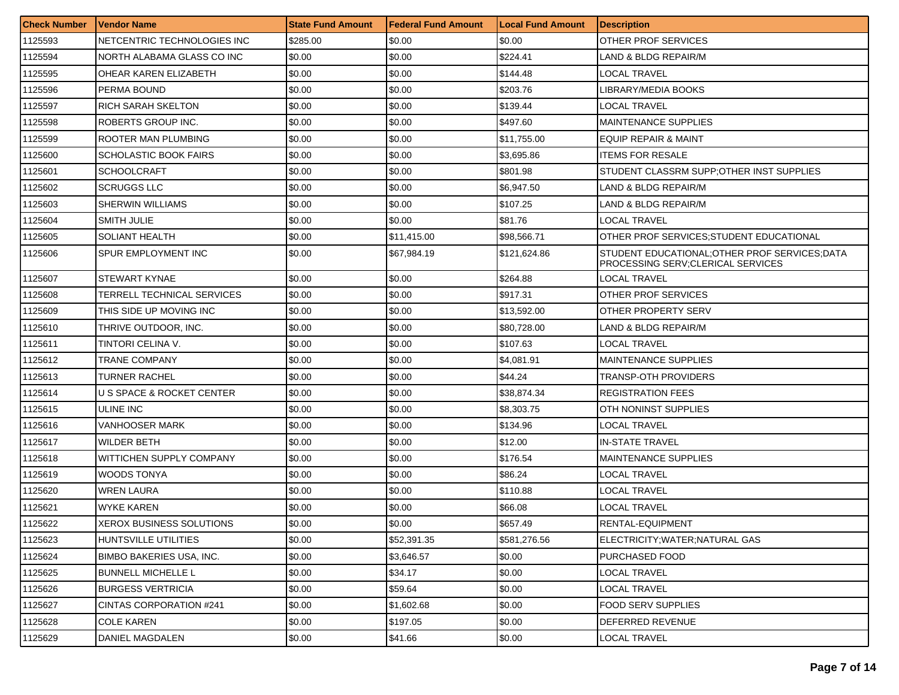| <b>Check Number</b> | l Vendor Name                   | <b>State Fund Amount</b> | Federal Fund Amount | <b>Local Fund Amount</b> | <b>Description</b>                                                                   |
|---------------------|---------------------------------|--------------------------|---------------------|--------------------------|--------------------------------------------------------------------------------------|
| 1125593             | NETCENTRIC TECHNOLOGIES INC     | \$285.00                 | \$0.00              | \$0.00                   | OTHER PROF SERVICES                                                                  |
| 1125594             | NORTH ALABAMA GLASS CO INC      | \$0.00                   | \$0.00              | \$224.41                 | LAND & BLDG REPAIR/M                                                                 |
| 1125595             | OHEAR KAREN ELIZABETH           | \$0.00                   | \$0.00              | \$144.48                 | LOCAL TRAVEL                                                                         |
| 1125596             | <b>PERMA BOUND</b>              | \$0.00                   | \$0.00              | \$203.76                 | LIBRARY/MEDIA BOOKS                                                                  |
| 1125597             | RICH SARAH SKELTON              | \$0.00                   | \$0.00              | \$139.44                 | LOCAL TRAVEL                                                                         |
| 1125598             | ROBERTS GROUP INC.              | \$0.00                   | \$0.00              | \$497.60                 | <b>MAINTENANCE SUPPLIES</b>                                                          |
| 1125599             | ROOTER MAN PLUMBING             | \$0.00                   | \$0.00              | \$11,755.00              | <b>EQUIP REPAIR &amp; MAINT</b>                                                      |
| 1125600             | <b>SCHOLASTIC BOOK FAIRS</b>    | \$0.00                   | \$0.00              | \$3.695.86               | <b>ITEMS FOR RESALE</b>                                                              |
| 1125601             | <b>SCHOOLCRAFT</b>              | \$0.00                   | \$0.00              | \$801.98                 | STUDENT CLASSRM SUPP; OTHER INST SUPPLIES                                            |
| 1125602             | SCRUGGS LLC                     | \$0.00                   | \$0.00              | \$6,947.50               | LAND & BLDG REPAIR/M                                                                 |
| 1125603             | SHERWIN WILLIAMS                | \$0.00                   | \$0.00              | \$107.25                 | LAND & BLDG REPAIR/M                                                                 |
| 1125604             | SMITH JULIE                     | \$0.00                   | \$0.00              | \$81.76                  | LOCAL TRAVEL                                                                         |
| 1125605             | SOLIANT HEALTH                  | \$0.00                   | \$11,415.00         | \$98,566.71              | OTHER PROF SERVICES; STUDENT EDUCATIONAL                                             |
| 1125606             | SPUR EMPLOYMENT INC             | \$0.00                   | \$67,984.19         | \$121,624.86             | STUDENT EDUCATIONAL: OTHER PROF SERVICES: DATA<br>PROCESSING SERV; CLERICAL SERVICES |
| 1125607             | <b>STEWART KYNAE</b>            | \$0.00                   | \$0.00              | \$264.88                 | <b>LOCAL TRAVEL</b>                                                                  |
| 1125608             | TERRELL TECHNICAL SERVICES      | \$0.00                   | \$0.00              | \$917.31                 | OTHER PROF SERVICES                                                                  |
| 1125609             | THIS SIDE UP MOVING INC         | \$0.00                   | \$0.00              | \$13.592.00              | OTHER PROPERTY SERV                                                                  |
| 1125610             | THRIVE OUTDOOR, INC.            | \$0.00                   | \$0.00              | \$80,728.00              | LAND & BLDG REPAIR/M                                                                 |
| 1125611             | TINTORI CELINA V.               | \$0.00                   | \$0.00              | \$107.63                 | LOCAL TRAVEL                                                                         |
| 1125612             | TRANE COMPANY                   | \$0.00                   | \$0.00              | \$4,081.91               | <b>MAINTENANCE SUPPLIES</b>                                                          |
| 1125613             | TURNER RACHEL                   | \$0.00                   | \$0.00              | \$44.24                  | TRANSP-OTH PROVIDERS                                                                 |
| 1125614             | U S SPACE & ROCKET CENTER       | \$0.00                   | \$0.00              | \$38,874.34              | <b>REGISTRATION FEES</b>                                                             |
| 1125615             | ULINE INC                       | \$0.00                   | \$0.00              | \$8,303.75               | OTH NONINST SUPPLIES                                                                 |
| 1125616             | VANHOOSER MARK                  | \$0.00                   | \$0.00              | \$134.96                 | LOCAL TRAVEL                                                                         |
| 1125617             | <b>WILDER BETH</b>              | \$0.00                   | \$0.00              | \$12.00                  | <b>IN-STATE TRAVEL</b>                                                               |
| 1125618             | WITTICHEN SUPPLY COMPANY        | \$0.00                   | \$0.00              | \$176.54                 | <b>MAINTENANCE SUPPLIES</b>                                                          |
| 1125619             | WOODS TONYA                     | \$0.00                   | \$0.00              | \$86.24                  | LOCAL TRAVEL                                                                         |
| 1125620             | <b>WREN LAURA</b>               | \$0.00                   | \$0.00              | \$110.88                 | LOCAL TRAVEL                                                                         |
| 1125621             | WYKE KAREN                      | \$0.00                   | \$0.00              | \$66.08                  | LOCAL TRAVEL                                                                         |
| 1125622             | <b>XEROX BUSINESS SOLUTIONS</b> | \$0.00                   | \$0.00              | \$657.49                 | RENTAL-EQUIPMENT                                                                     |
| 1125623             | HUNTSVILLE UTILITIES            | \$0.00                   | \$52,391.35         | \$581,276.56             | ELECTRICITY; WATER; NATURAL GAS                                                      |
| 1125624             | <b>BIMBO BAKERIES USA. INC.</b> | \$0.00                   | \$3,646.57          | \$0.00                   | PURCHASED FOOD                                                                       |
| 1125625             | <b>BUNNELL MICHELLE L</b>       | \$0.00                   | \$34.17             | \$0.00                   | LOCAL TRAVEL                                                                         |
| 1125626             | <b>BURGESS VERTRICIA</b>        | \$0.00                   | \$59.64             | \$0.00                   | LOCAL TRAVEL                                                                         |
| 1125627             | CINTAS CORPORATION #241         | \$0.00                   | \$1,602.68          | \$0.00                   | <b>FOOD SERV SUPPLIES</b>                                                            |
| 1125628             | <b>COLE KAREN</b>               | \$0.00                   | \$197.05            | \$0.00                   | DEFERRED REVENUE                                                                     |
| 1125629             | DANIEL MAGDALEN                 | \$0.00                   | \$41.66             | \$0.00                   | LOCAL TRAVEL                                                                         |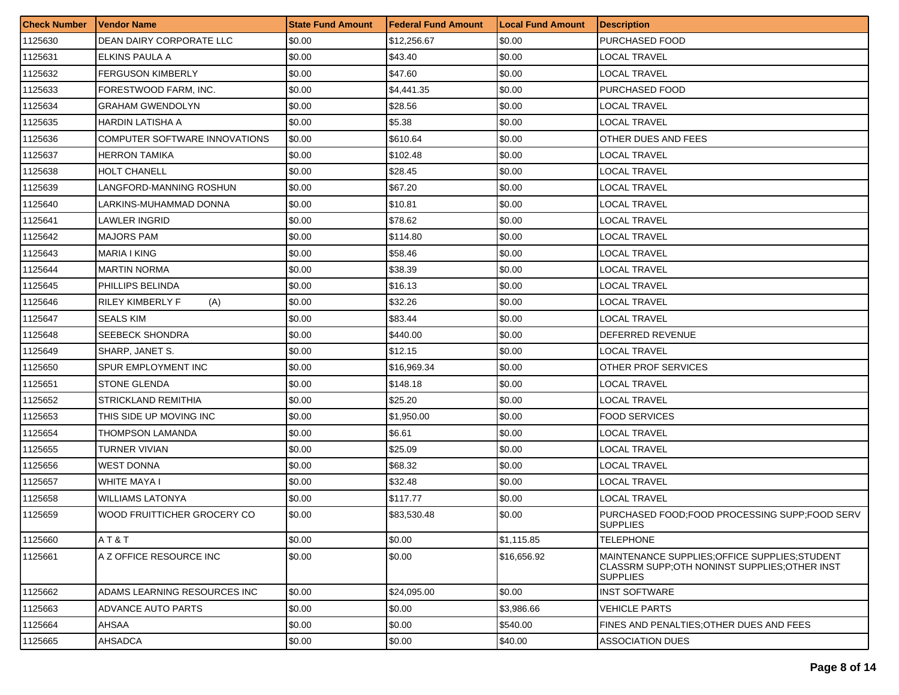| <b>Check Number</b> | l Vendor Name                  | <b>State Fund Amount</b> | <b>Federal Fund Amount</b> | <b>Local Fund Amount</b> | <b>Description</b>                                                                                                |
|---------------------|--------------------------------|--------------------------|----------------------------|--------------------------|-------------------------------------------------------------------------------------------------------------------|
| 1125630             | DEAN DAIRY CORPORATE LLC       | \$0.00                   | \$12,256.67                | \$0.00                   | PURCHASED FOOD                                                                                                    |
| 1125631             | ELKINS PAULA A                 | \$0.00                   | \$43.40                    | \$0.00                   | LOCAL TRAVEL                                                                                                      |
| 1125632             | <b>FERGUSON KIMBERLY</b>       | \$0.00                   | \$47.60                    | \$0.00                   | LOCAL TRAVEL                                                                                                      |
| 1125633             | FORESTWOOD FARM, INC.          | \$0.00                   | \$4,441.35                 | \$0.00                   | PURCHASED FOOD                                                                                                    |
| 1125634             | GRAHAM GWENDOLYN               | \$0.00                   | \$28.56                    | \$0.00                   | LOCAL TRAVEL                                                                                                      |
| 1125635             | HARDIN LATISHA A               | \$0.00                   | \$5.38                     | \$0.00                   | LOCAL TRAVEL                                                                                                      |
| 1125636             | COMPUTER SOFTWARE INNOVATIONS  | \$0.00                   | \$610.64                   | \$0.00                   | OTHER DUES AND FEES                                                                                               |
| 1125637             | HERRON TAMIKA                  | \$0.00                   | \$102.48                   | \$0.00                   | LOCAL TRAVEL                                                                                                      |
| 1125638             | <b>HOLT CHANELL</b>            | \$0.00                   | \$28.45                    | \$0.00                   | LOCAL TRAVEL                                                                                                      |
| 1125639             | LANGFORD-MANNING ROSHUN        | \$0.00                   | \$67.20                    | \$0.00                   | LOCAL TRAVEL                                                                                                      |
| 1125640             | LARKINS-MUHAMMAD DONNA         | \$0.00                   | \$10.81                    | \$0.00                   | LOCAL TRAVEL                                                                                                      |
| 1125641             | LAWLER INGRID                  | \$0.00                   | \$78.62                    | \$0.00                   | LOCAL TRAVEL                                                                                                      |
| 1125642             | <b>MAJORS PAM</b>              | \$0.00                   | \$114.80                   | \$0.00                   | LOCAL TRAVEL                                                                                                      |
| 1125643             | <b>MARIA I KING</b>            | \$0.00                   | \$58.46                    | \$0.00                   | LOCAL TRAVEL                                                                                                      |
| 1125644             | MARTIN NORMA                   | \$0.00                   | \$38.39                    | \$0.00                   | LOCAL TRAVEL                                                                                                      |
| 1125645             | PHILLIPS BELINDA               | \$0.00                   | \$16.13                    | \$0.00                   | LOCAL TRAVEL                                                                                                      |
| 1125646             | <b>RILEY KIMBERLY F</b><br>(A) | \$0.00                   | \$32.26                    | \$0.00                   | LOCAL TRAVEL                                                                                                      |
| 1125647             | <b>SEALS KIM</b>               | \$0.00                   | \$83.44                    | \$0.00                   | LOCAL TRAVEL                                                                                                      |
| 1125648             | <b>SEEBECK SHONDRA</b>         | \$0.00                   | \$440.00                   | \$0.00                   | DEFERRED REVENUE                                                                                                  |
| 1125649             | SHARP, JANET S.                | \$0.00                   | \$12.15                    | \$0.00                   | LOCAL TRAVEL                                                                                                      |
| 1125650             | SPUR EMPLOYMENT INC            | \$0.00                   | \$16,969.34                | \$0.00                   | OTHER PROF SERVICES                                                                                               |
| 1125651             | <b>STONE GLENDA</b>            | \$0.00                   | \$148.18                   | \$0.00                   | LOCAL TRAVEL                                                                                                      |
| 1125652             | <b>STRICKLAND REMITHIA</b>     | \$0.00                   | \$25.20                    | \$0.00                   | LOCAL TRAVEL                                                                                                      |
| 1125653             | THIS SIDE UP MOVING INC        | \$0.00                   | \$1,950.00                 | \$0.00                   | <b>FOOD SERVICES</b>                                                                                              |
| 1125654             | THOMPSON LAMANDA               | \$0.00                   | \$6.61                     | \$0.00                   | LOCAL TRAVEL                                                                                                      |
| 1125655             | TURNER VIVIAN                  | \$0.00                   | \$25.09                    | \$0.00                   | LOCAL TRAVEL                                                                                                      |
| 1125656             | WEST DONNA                     | \$0.00                   | \$68.32                    | \$0.00                   | LOCAL TRAVEL                                                                                                      |
| 1125657             | <b>WHITE MAYA I</b>            | \$0.00                   | \$32.48                    | \$0.00                   | LOCAL TRAVEL                                                                                                      |
| 1125658             | <b>WILLIAMS LATONYA</b>        | \$0.00                   | \$117.77                   | \$0.00                   | LOCAL TRAVEL                                                                                                      |
| 1125659             | WOOD FRUITTICHER GROCERY CO    | \$0.00                   | \$83,530.48                | \$0.00                   | PURCHASED FOOD;FOOD PROCESSING SUPP;FOOD SERV<br><b>SUPPLIES</b>                                                  |
| 1125660             | AT & T                         | \$0.00                   | \$0.00                     | \$1,115.85               | TELEPHONE                                                                                                         |
| 1125661             | A Z OFFICE RESOURCE INC        | \$0.00                   | \$0.00                     | \$16,656.92              | MAINTENANCE SUPPLIES:OFFICE SUPPLIES:STUDENT<br>CLASSRM SUPP; OTH NONINST SUPPLIES; OTHER INST<br><b>SUPPLIES</b> |
| 1125662             | ADAMS LEARNING RESOURCES INC   | \$0.00                   | \$24,095.00                | \$0.00                   | <b>INST SOFTWARE</b>                                                                                              |
| 1125663             | ADVANCE AUTO PARTS             | \$0.00                   | \$0.00                     | \$3,986.66               | <b>VEHICLE PARTS</b>                                                                                              |
| 1125664             | AHSAA                          | \$0.00                   | \$0.00                     | \$540.00                 | FINES AND PENALTIES: OTHER DUES AND FEES                                                                          |
| 1125665             | AHSADCA                        | \$0.00                   | \$0.00                     | \$40.00                  | <b>ASSOCIATION DUES</b>                                                                                           |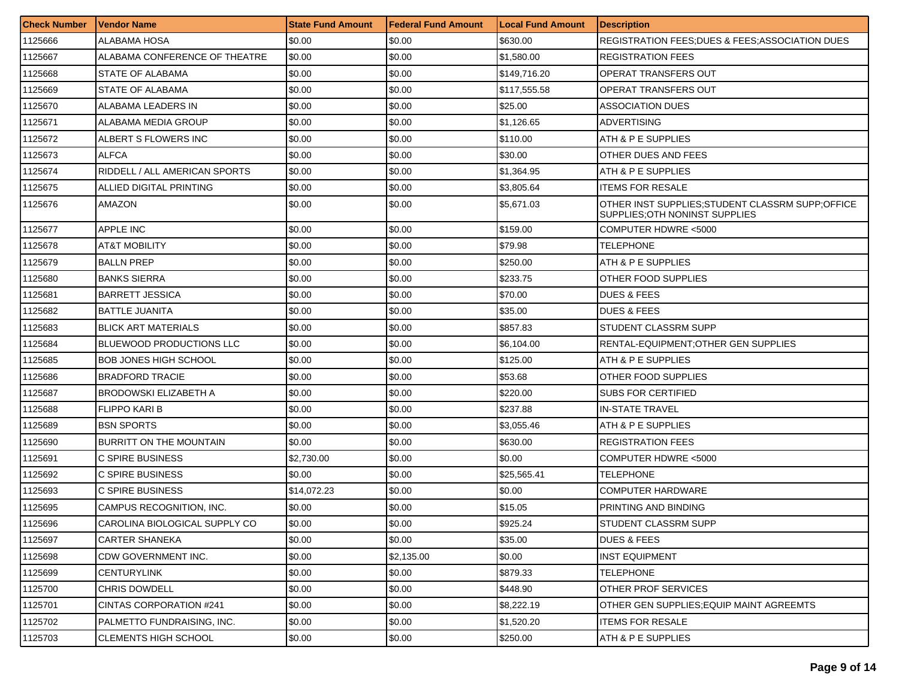| <b>Check Number</b> | <b>Vendor Name</b>              | <b>State Fund Amount</b> | Federal Fund Amount | <b>Local Fund Amount</b> | <b>Description</b>                                                                  |
|---------------------|---------------------------------|--------------------------|---------------------|--------------------------|-------------------------------------------------------------------------------------|
| 1125666             | ALABAMA HOSA                    | \$0.00                   | \$0.00              | \$630.00                 | <b>REGISTRATION FEES; DUES &amp; FEES; ASSOCIATION DUES</b>                         |
| 1125667             | ALABAMA CONFERENCE OF THEATRE   | \$0.00                   | \$0.00              | \$1,580.00               | <b>REGISTRATION FEES</b>                                                            |
| 1125668             | STATE OF ALABAMA                | \$0.00                   | \$0.00              | \$149,716.20             | OPERAT TRANSFERS OUT                                                                |
| 1125669             | <b>STATE OF ALABAMA</b>         | \$0.00                   | \$0.00              | \$117,555.58             | IOPERAT TRANSFERS OUT                                                               |
| 1125670             | ALABAMA LEADERS IN              | \$0.00                   | \$0.00              | \$25.00                  | ASSOCIATION DUES                                                                    |
| 1125671             | ALABAMA MEDIA GROUP             | \$0.00                   | \$0.00              | \$1,126.65               | ADVERTISING                                                                         |
| 1125672             | ALBERT S FLOWERS INC            | \$0.00                   | \$0.00              | \$110.00                 | ATH & P E SUPPLIES                                                                  |
| 1125673             | <b>ALFCA</b>                    | \$0.00                   | \$0.00              | \$30.00                  | IOTHER DUES AND FEES                                                                |
| 1125674             | RIDDELL / ALL AMERICAN SPORTS   | \$0.00                   | \$0.00              | \$1.364.95               | ATH & P E SUPPLIES                                                                  |
| 1125675             | ALLIED DIGITAL PRINTING         | \$0.00                   | \$0.00              | \$3,805.64               | <b>ITEMS FOR RESALE</b>                                                             |
| 1125676             | AMAZON                          | \$0.00                   | \$0.00              | \$5,671.03               | OTHER INST SUPPLIES; STUDENT CLASSRM SUPP; OFFICE<br>SUPPLIES; OTH NONINST SUPPLIES |
| 1125677             | <b>APPLE INC</b>                | \$0.00                   | \$0.00              | \$159.00                 | COMPUTER HDWRE <5000                                                                |
| 1125678             | <b>AT&amp;T MOBILITY</b>        | \$0.00                   | \$0.00              | \$79.98                  | TELEPHONE                                                                           |
| 1125679             | <b>BALLN PREP</b>               | \$0.00                   | \$0.00              | \$250.00                 | <b>ATH &amp; P E SUPPLIES</b>                                                       |
| 1125680             | <b>BANKS SIERRA</b>             | \$0.00                   | \$0.00              | \$233.75                 | OTHER FOOD SUPPLIES                                                                 |
| 1125681             | <b>BARRETT JESSICA</b>          | \$0.00                   | \$0.00              | \$70.00                  | <b>DUES &amp; FEES</b>                                                              |
| 1125682             | <b>BATTLE JUANITA</b>           | \$0.00                   | \$0.00              | \$35.00                  | <b>DUES &amp; FEES</b>                                                              |
| 1125683             | <b>BLICK ART MATERIALS</b>      | \$0.00                   | \$0.00              | \$857.83                 | <b>STUDENT CLASSRM SUPP</b>                                                         |
| 1125684             | <b>BLUEWOOD PRODUCTIONS LLC</b> | \$0.00                   | \$0.00              | \$6,104.00               | RENTAL-EQUIPMENT; OTHER GEN SUPPLIES                                                |
| 1125685             | <b>BOB JONES HIGH SCHOOL</b>    | \$0.00                   | \$0.00              | \$125.00                 | <b>ATH &amp; P E SUPPLIES</b>                                                       |
| 1125686             | <b>BRADFORD TRACIE</b>          | \$0.00                   | \$0.00              | \$53.68                  | OTHER FOOD SUPPLIES                                                                 |
| 1125687             | <b>BRODOWSKI ELIZABETH A</b>    | \$0.00                   | \$0.00              | \$220.00                 | ISUBS FOR CERTIFIED                                                                 |
| 1125688             | <b>FLIPPO KARI B</b>            | \$0.00                   | \$0.00              | \$237.88                 | IN-STATE TRAVEL                                                                     |
| 1125689             | <b>BSN SPORTS</b>               | \$0.00                   | \$0.00              | \$3,055.46               | ATH & P E SUPPLIES                                                                  |
| 1125690             | <b>BURRITT ON THE MOUNTAIN</b>  | \$0.00                   | \$0.00              | \$630.00                 | <b>REGISTRATION FEES</b>                                                            |
| 1125691             | C SPIRE BUSINESS                | \$2,730.00               | \$0.00              | \$0.00                   | COMPUTER HDWRE <5000                                                                |
| 1125692             | C SPIRE BUSINESS                | \$0.00                   | \$0.00              | \$25,565.41              | TELEPHONE                                                                           |
| 1125693             | C SPIRE BUSINESS                | \$14,072.23              | \$0.00              | \$0.00                   | <b>COMPUTER HARDWARE</b>                                                            |
| 1125695             | CAMPUS RECOGNITION, INC.        | \$0.00                   | \$0.00              | \$15.05                  | <b>PRINTING AND BINDING</b>                                                         |
| 1125696             | CAROLINA BIOLOGICAL SUPPLY CO   | \$0.00                   | \$0.00              | \$925.24                 | STUDENT CLASSRM SUPP                                                                |
| 1125697             | CARTER SHANEKA                  | \$0.00                   | \$0.00              | \$35.00                  | <b>DUES &amp; FEES</b>                                                              |
| 1125698             | CDW GOVERNMENT INC.             | \$0.00                   | \$2,135.00          | \$0.00                   | INST EQUIPMENT                                                                      |
| 1125699             | CENTURYLINK                     | \$0.00                   | \$0.00              | \$879.33                 | <b>TELEPHONE</b>                                                                    |
| 1125700             | <b>CHRIS DOWDELL</b>            | \$0.00                   | \$0.00              | \$448.90                 | OTHER PROF SERVICES                                                                 |
| 1125701             | <b>CINTAS CORPORATION #241</b>  | \$0.00                   | \$0.00              | \$8,222.19               | OTHER GEN SUPPLIES; EQUIP MAINT AGREEMTS                                            |
| 1125702             | PALMETTO FUNDRAISING, INC.      | \$0.00                   | \$0.00              | \$1,520.20               | <b>ITEMS FOR RESALE</b>                                                             |
| 1125703             | <b>CLEMENTS HIGH SCHOOL</b>     | \$0.00                   | \$0.00              | \$250.00                 | ATH & P E SUPPLIES                                                                  |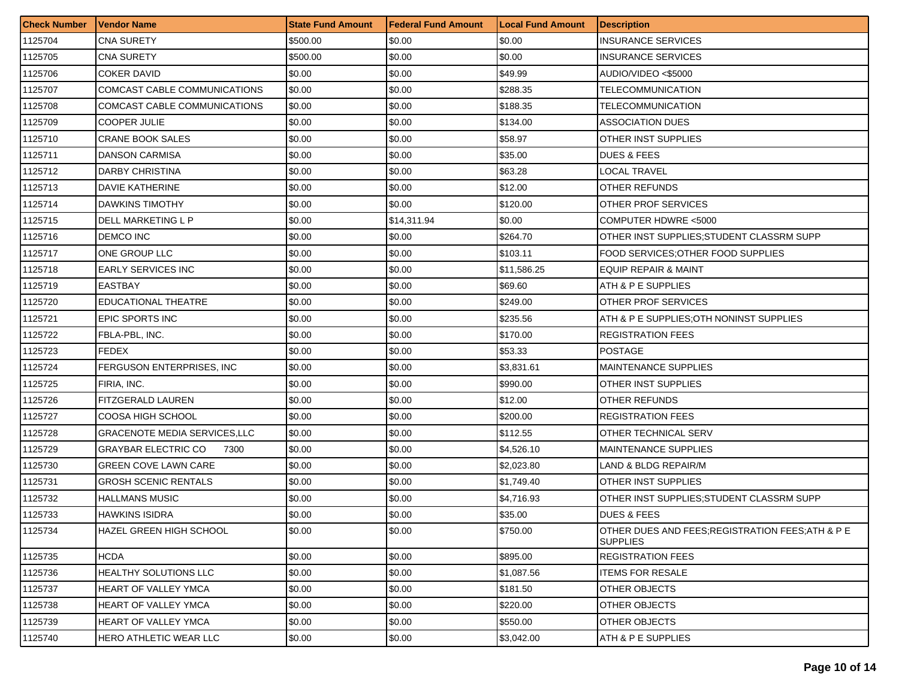| <b>Check Number</b> | Vendor Name                         | <b>State Fund Amount</b> | <b>Federal Fund Amount</b> | <b>Local Fund Amount</b> | <b>Description</b>                                                   |
|---------------------|-------------------------------------|--------------------------|----------------------------|--------------------------|----------------------------------------------------------------------|
| 1125704             | <b>CNA SURETY</b>                   | \$500.00                 | \$0.00                     | \$0.00                   | <b>INSURANCE SERVICES</b>                                            |
| 1125705             | <b>CNA SURETY</b>                   | \$500.00                 | \$0.00                     | \$0.00                   | <b>INSURANCE SERVICES</b>                                            |
| 1125706             | <b>COKER DAVID</b>                  | \$0.00                   | \$0.00                     | \$49.99                  | AUDIO/VIDEO <\$5000                                                  |
| 1125707             | COMCAST CABLE COMMUNICATIONS        | \$0.00                   | \$0.00                     | \$288.35                 | TELECOMMUNICATION                                                    |
| 1125708             | COMCAST CABLE COMMUNICATIONS        | \$0.00                   | \$0.00                     | \$188.35                 | TELECOMMUNICATION                                                    |
| 1125709             | <b>COOPER JULIE</b>                 | \$0.00                   | \$0.00                     | \$134.00                 | <b>ASSOCIATION DUES</b>                                              |
| 1125710             | <b>CRANE BOOK SALES</b>             | \$0.00                   | \$0.00                     | \$58.97                  | OTHER INST SUPPLIES                                                  |
| 1125711             | <b>DANSON CARMISA</b>               | \$0.00                   | \$0.00                     | \$35.00                  | <b>DUES &amp; FEES</b>                                               |
| 1125712             | DARBY CHRISTINA                     | \$0.00                   | \$0.00                     | \$63.28                  | <b>LOCAL TRAVEL</b>                                                  |
| 1125713             | DAVIE KATHERINE                     | \$0.00                   | \$0.00                     | \$12.00                  | OTHER REFUNDS                                                        |
| 1125714             | DAWKINS TIMOTHY                     | \$0.00                   | \$0.00                     | \$120.00                 | <b>OTHER PROF SERVICES</b>                                           |
| 1125715             | DELL MARKETING L P                  | \$0.00                   | \$14,311.94                | \$0.00                   | COMPUTER HDWRE <5000                                                 |
| 1125716             | <b>DEMCO INC</b>                    | \$0.00                   | \$0.00                     | \$264.70                 | OTHER INST SUPPLIES: STUDENT CLASSRM SUPP                            |
| 1125717             | ONE GROUP LLC                       | \$0.00                   | \$0.00                     | \$103.11                 | FOOD SERVICES: OTHER FOOD SUPPLIES                                   |
| 1125718             | <b>EARLY SERVICES INC</b>           | \$0.00                   | \$0.00                     | \$11,586.25              | EQUIP REPAIR & MAINT                                                 |
| 1125719             | <b>EASTBAY</b>                      | \$0.00                   | \$0.00                     | \$69.60                  | ATH & P E SUPPLIES                                                   |
| 1125720             | <b>EDUCATIONAL THEATRE</b>          | \$0.00                   | \$0.00                     | \$249.00                 | OTHER PROF SERVICES                                                  |
| 1125721             | EPIC SPORTS INC                     | \$0.00                   | \$0.00                     | \$235.56                 | ATH & P E SUPPLIES:OTH NONINST SUPPLIES                              |
| 1125722             | FBLA-PBL, INC.                      | \$0.00                   | \$0.00                     | \$170.00                 | <b>REGISTRATION FEES</b>                                             |
| 1125723             | FEDEX                               | \$0.00                   | \$0.00                     | \$53.33                  | <b>POSTAGE</b>                                                       |
| 1125724             | FERGUSON ENTERPRISES, INC.          | \$0.00                   | \$0.00                     | \$3,831.61               | <b>MAINTENANCE SUPPLIES</b>                                          |
| 1125725             | FIRIA, INC.                         | \$0.00                   | \$0.00                     | \$990.00                 | OTHER INST SUPPLIES                                                  |
| 1125726             | FITZGERALD LAUREN                   | \$0.00                   | \$0.00                     | \$12.00                  | OTHER REFUNDS                                                        |
| 1125727             | COOSA HIGH SCHOOL                   | \$0.00                   | \$0.00                     | \$200.00                 | <b>REGISTRATION FEES</b>                                             |
| 1125728             | <b>GRACENOTE MEDIA SERVICES,LLC</b> | \$0.00                   | \$0.00                     | \$112.55                 | OTHER TECHNICAL SERV                                                 |
| 1125729             | <b>GRAYBAR ELECTRIC CO</b><br>7300  | \$0.00                   | \$0.00                     | \$4,526.10               | <b>MAINTENANCE SUPPLIES</b>                                          |
| 1125730             | <b>GREEN COVE LAWN CARE</b>         | \$0.00                   | \$0.00                     | \$2,023.80               | LAND & BLDG REPAIR/M                                                 |
| 1125731             | <b>GROSH SCENIC RENTALS</b>         | \$0.00                   | \$0.00                     | \$1,749.40               | OTHER INST SUPPLIES                                                  |
| 1125732             | <b>HALLMANS MUSIC</b>               | \$0.00                   | \$0.00                     | \$4,716.93               | OTHER INST SUPPLIES; STUDENT CLASSRM SUPP                            |
| 1125733             | HAWKINS ISIDRA                      | \$0.00                   | \$0.00                     | \$35.00                  | <b>DUES &amp; FEES</b>                                               |
| 1125734             | HAZEL GREEN HIGH SCHOOL             | \$0.00                   | \$0.00                     | \$750.00                 | OTHER DUES AND FEES; REGISTRATION FEES; ATH & P E<br><b>SUPPLIES</b> |
| 1125735             | <b>HCDA</b>                         | \$0.00                   | \$0.00                     | \$895.00                 | <b>REGISTRATION FEES</b>                                             |
| 1125736             | <b>HEALTHY SOLUTIONS LLC</b>        | \$0.00                   | \$0.00                     | \$1,087.56               | <b>ITEMS FOR RESALE</b>                                              |
| 1125737             | <b>HEART OF VALLEY YMCA</b>         | \$0.00                   | \$0.00                     | \$181.50                 | OTHER OBJECTS                                                        |
| 1125738             | <b>HEART OF VALLEY YMCA</b>         | \$0.00                   | \$0.00                     | \$220.00                 | <b>OTHER OBJECTS</b>                                                 |
| 1125739             | <b>HEART OF VALLEY YMCA</b>         | \$0.00                   | \$0.00                     | \$550.00                 | <b>OTHER OBJECTS</b>                                                 |
| 1125740             | <b>HERO ATHLETIC WEAR LLC</b>       | \$0.00                   | \$0.00                     | \$3,042.00               | ATH & P E SUPPLIES                                                   |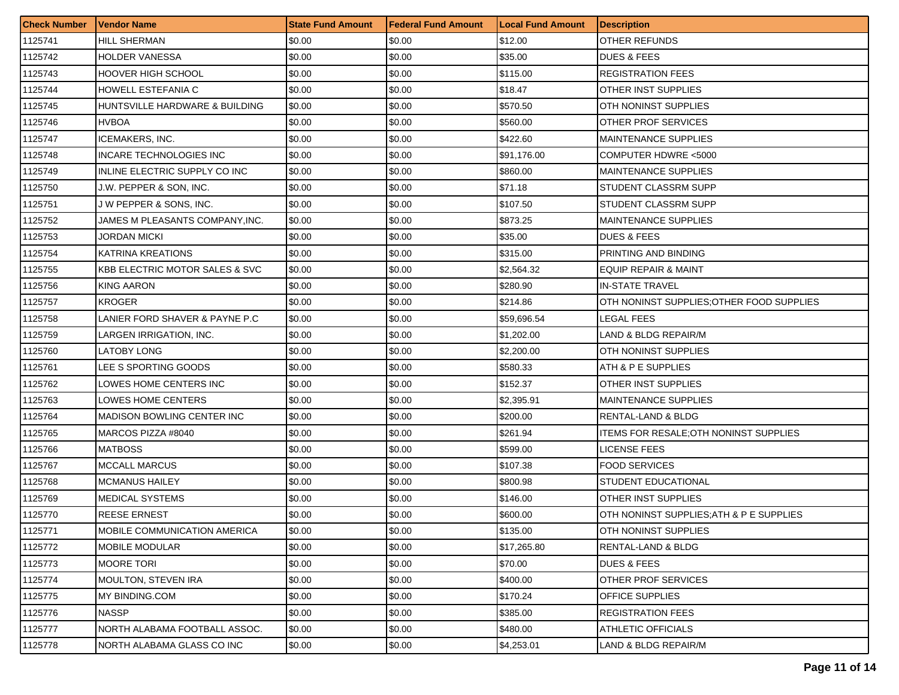| <b>Check Number</b> | <b>Vendor Name</b>                        | <b>State Fund Amount</b> | Federal Fund Amount | <b>Local Fund Amount</b> | <b>Description</b>                       |
|---------------------|-------------------------------------------|--------------------------|---------------------|--------------------------|------------------------------------------|
| 1125741             | <b>HILL SHERMAN</b>                       | \$0.00                   | \$0.00              | \$12.00                  | OTHER REFUNDS                            |
| 1125742             | <b>HOLDER VANESSA</b>                     | \$0.00                   | \$0.00              | \$35.00                  | <b>DUES &amp; FEES</b>                   |
| 1125743             | <b>HOOVER HIGH SCHOOL</b>                 | \$0.00                   | \$0.00              | \$115.00                 | <b>REGISTRATION FEES</b>                 |
| 1125744             | HOWELL ESTEFANIA C                        | \$0.00                   | \$0.00              | \$18.47                  | OTHER INST SUPPLIES                      |
| 1125745             | HUNTSVILLE HARDWARE & BUILDING            | \$0.00                   | \$0.00              | \$570.50                 | OTH NONINST SUPPLIES                     |
| 1125746             | <b>HVBOA</b>                              | \$0.00                   | \$0.00              | \$560.00                 | OTHER PROF SERVICES                      |
| 1125747             | <b>ICEMAKERS, INC.</b>                    | \$0.00                   | \$0.00              | \$422.60                 | <b>MAINTENANCE SUPPLIES</b>              |
| 1125748             | INCARE TECHNOLOGIES INC                   | \$0.00                   | \$0.00              | \$91,176.00              | COMPUTER HDWRE <5000                     |
| 1125749             | INLINE ELECTRIC SUPPLY CO INC             | \$0.00                   | \$0.00              | \$860.00                 | <b>MAINTENANCE SUPPLIES</b>              |
| 1125750             | J.W. PEPPER & SON, INC.                   | \$0.00                   | \$0.00              | \$71.18                  | STUDENT CLASSRM SUPP                     |
| 1125751             | J W PEPPER & SONS, INC.                   | \$0.00                   | \$0.00              | \$107.50                 | STUDENT CLASSRM SUPP                     |
| 1125752             | JAMES M PLEASANTS COMPANY,INC.            | \$0.00                   | \$0.00              | \$873.25                 | <b>MAINTENANCE SUPPLIES</b>              |
| 1125753             | JORDAN MICKI                              | \$0.00                   | \$0.00              | \$35.00                  | <b>DUES &amp; FEES</b>                   |
| 1125754             | <b>KATRINA KREATIONS</b>                  | \$0.00                   | \$0.00              | \$315.00                 | PRINTING AND BINDING                     |
| 1125755             | <b>KBB ELECTRIC MOTOR SALES &amp; SVC</b> | \$0.00                   | \$0.00              | \$2,564.32               | EQUIP REPAIR & MAINT                     |
| 1125756             | KING AARON                                | \$0.00                   | \$0.00              | \$280.90                 | <b>IN-STATE TRAVEL</b>                   |
| 1125757             | <b>KROGER</b>                             | \$0.00                   | \$0.00              | \$214.86                 | OTH NONINST SUPPLIES:OTHER FOOD SUPPLIES |
| 1125758             | LANIER FORD SHAVER & PAYNE P.C            | \$0.00                   | \$0.00              | \$59,696.54              | LEGAL FEES                               |
| 1125759             | LARGEN IRRIGATION, INC.                   | \$0.00                   | \$0.00              | \$1,202.00               | LAND & BLDG REPAIR/M                     |
| 1125760             | <b>LATOBY LONG</b>                        | \$0.00                   | \$0.00              | \$2,200.00               | OTH NONINST SUPPLIES                     |
| 1125761             | LEE S SPORTING GOODS                      | \$0.00                   | \$0.00              | \$580.33                 | ATH & P E SUPPLIES                       |
| 1125762             | LOWES HOME CENTERS INC                    | \$0.00                   | \$0.00              | \$152.37                 | OTHER INST SUPPLIES                      |
| 1125763             | LOWES HOME CENTERS                        | \$0.00                   | \$0.00              | \$2,395.91               | <b>MAINTENANCE SUPPLIES</b>              |
| 1125764             | <b>MADISON BOWLING CENTER INC</b>         | \$0.00                   | \$0.00              | \$200.00                 | RENTAL-LAND & BLDG                       |
| 1125765             | MARCOS PIZZA #8040                        | \$0.00                   | \$0.00              | \$261.94                 | ITEMS FOR RESALE; OTH NONINST SUPPLIES   |
| 1125766             | <b>MATBOSS</b>                            | \$0.00                   | \$0.00              | \$599.00                 | LICENSE FEES                             |
| 1125767             | <b>MCCALL MARCUS</b>                      | \$0.00                   | \$0.00              | \$107.38                 | <b>FOOD SERVICES</b>                     |
| 1125768             | <b>MCMANUS HAILEY</b>                     | \$0.00                   | \$0.00              | \$800.98                 | STUDENT EDUCATIONAL                      |
| 1125769             | MEDICAL SYSTEMS                           | \$0.00                   | \$0.00              | \$146.00                 | OTHER INST SUPPLIES                      |
| 1125770             | <b>REESE ERNEST</b>                       | \$0.00                   | \$0.00              | \$600.00                 | OTH NONINST SUPPLIES; ATH & P E SUPPLIES |
| 1125771             | MOBILE COMMUNICATION AMERICA              | \$0.00                   | \$0.00              | \$135.00                 | OTH NONINST SUPPLIES                     |
| 1125772             | <b>MOBILE MODULAR</b>                     | \$0.00                   | \$0.00              | \$17,265.80              | <b>RENTAL-LAND &amp; BLDG</b>            |
| 1125773             | <b>MOORE TORI</b>                         | \$0.00                   | \$0.00              | \$70.00                  | <b>DUES &amp; FEES</b>                   |
| 1125774             | <b>MOULTON, STEVEN IRA</b>                | \$0.00                   | \$0.00              | \$400.00                 | OTHER PROF SERVICES                      |
| 1125775             | MY BINDING.COM                            | \$0.00                   | \$0.00              | \$170.24                 | OFFICE SUPPLIES                          |
| 1125776             | <b>NASSP</b>                              | \$0.00                   | \$0.00              | \$385.00                 | <b>REGISTRATION FEES</b>                 |
| 1125777             | NORTH ALABAMA FOOTBALL ASSOC.             | \$0.00                   | \$0.00              | \$480.00                 | <b>ATHLETIC OFFICIALS</b>                |
| 1125778             | NORTH ALABAMA GLASS CO INC                | \$0.00                   | \$0.00              | \$4,253.01               | LAND & BLDG REPAIR/M                     |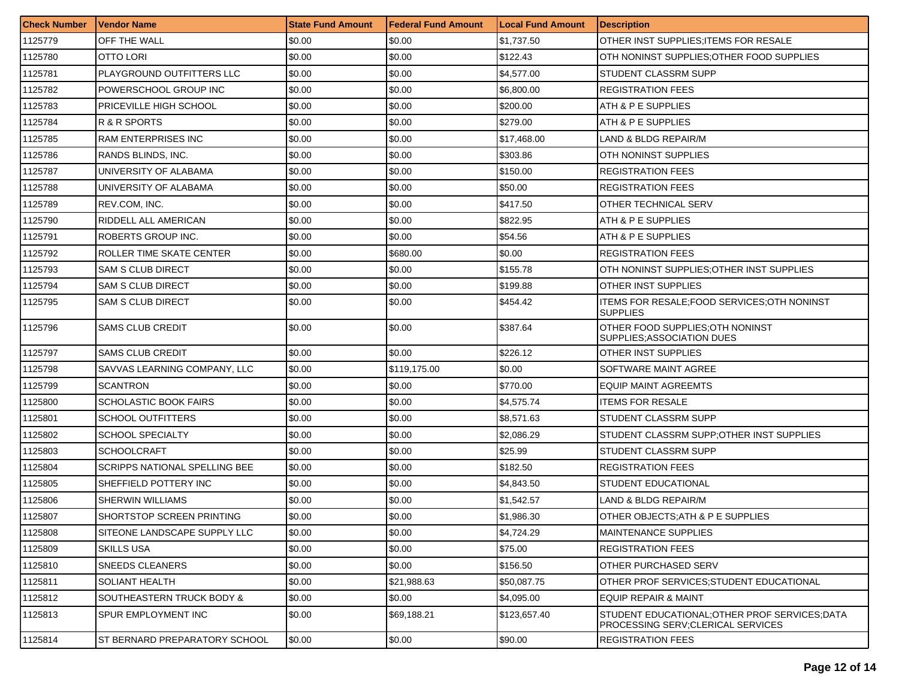| <b>Check Number</b> | <b>Vendor Name</b>            | <b>State Fund Amount</b> | l Federal Fund Amount | <b>ILocal Fund Amount</b> | <b>Description</b>                                                                   |
|---------------------|-------------------------------|--------------------------|-----------------------|---------------------------|--------------------------------------------------------------------------------------|
| 1125779             | OFF THE WALL                  | \$0.00                   | \$0.00                | \$1,737.50                | OTHER INST SUPPLIES; ITEMS FOR RESALE                                                |
| 1125780             | OTTO LORI                     | \$0.00                   | \$0.00                | \$122.43                  | OTH NONINST SUPPLIES; OTHER FOOD SUPPLIES                                            |
| 1125781             | PLAYGROUND OUTFITTERS LLC     | \$0.00                   | \$0.00                | \$4,577.00                | <b>STUDENT CLASSRM SUPP</b>                                                          |
| 1125782             | POWERSCHOOL GROUP INC         | \$0.00                   | \$0.00                | \$6,800.00                | <b>REGISTRATION FEES</b>                                                             |
| 1125783             | PRICEVILLE HIGH SCHOOL        | \$0.00                   | \$0.00                | \$200.00                  | ATH & P E SUPPLIES                                                                   |
| 1125784             | R & R SPORTS                  | \$0.00                   | \$0.00                | \$279.00                  | ATH & P E SUPPLIES                                                                   |
| 1125785             | <b>RAM ENTERPRISES INC</b>    | \$0.00                   | \$0.00                | \$17,468.00               | LAND & BLDG REPAIR/M                                                                 |
| 1125786             | RANDS BLINDS, INC.            | \$0.00                   | \$0.00                | \$303.86                  | <b>OTH NONINST SUPPLIES</b>                                                          |
| 1125787             | UNIVERSITY OF ALABAMA         | \$0.00                   | \$0.00                | \$150.00                  | <b>REGISTRATION FEES</b>                                                             |
| 1125788             | UNIVERSITY OF ALABAMA         | \$0.00                   | \$0.00                | \$50.00                   | <b>REGISTRATION FEES</b>                                                             |
| 1125789             | REV.COM, INC.                 | \$0.00                   | \$0.00                | \$417.50                  | OTHER TECHNICAL SERV                                                                 |
| 1125790             | RIDDELL ALL AMERICAN          | \$0.00                   | \$0.00                | \$822.95                  | ATH & P E SUPPLIES                                                                   |
| 1125791             | ROBERTS GROUP INC.            | \$0.00                   | \$0.00                | \$54.56                   | ATH & P E SUPPLIES                                                                   |
| 1125792             | ROLLER TIME SKATE CENTER      | \$0.00                   | \$680.00              | \$0.00                    | <b>REGISTRATION FEES</b>                                                             |
| 1125793             | SAM S CLUB DIRECT             | \$0.00                   | \$0.00                | \$155.78                  | OTH NONINST SUPPLIES; OTHER INST SUPPLIES                                            |
| 1125794             | SAM S CLUB DIRECT             | \$0.00                   | \$0.00                | \$199.88                  | <b>OTHER INST SUPPLIES</b>                                                           |
| 1125795             | <b>SAM S CLUB DIRECT</b>      | \$0.00                   | \$0.00                | \$454.42                  | ITEMS FOR RESALE; FOOD SERVICES; OTH NONINST<br><b>SUPPLIES</b>                      |
| 1125796             | <b>SAMS CLUB CREDIT</b>       | \$0.00                   | \$0.00                | \$387.64                  | OTHER FOOD SUPPLIES: OTH NONINST<br><b>SUPPLIES: ASSOCIATION DUES</b>                |
| 1125797             | <b>SAMS CLUB CREDIT</b>       | \$0.00                   | \$0.00                | \$226.12                  | OTHER INST SUPPLIES                                                                  |
| 1125798             | SAVVAS LEARNING COMPANY, LLC  | \$0.00                   | \$119,175.00          | \$0.00                    | <b>SOFTWARE MAINT AGREE</b>                                                          |
| 1125799             | <b>SCANTRON</b>               | \$0.00                   | \$0.00                | \$770.00                  | <b>EQUIP MAINT AGREEMTS</b>                                                          |
| 1125800             | <b>SCHOLASTIC BOOK FAIRS</b>  | \$0.00                   | \$0.00                | \$4,575.74                | <b>ITEMS FOR RESALE</b>                                                              |
| 1125801             | SCHOOL OUTFITTERS             | \$0.00                   | \$0.00                | \$8,571.63                | STUDENT CLASSRM SUPP                                                                 |
| 1125802             | <b>SCHOOL SPECIALTY</b>       | \$0.00                   | \$0.00                | \$2,086.29                | STUDENT CLASSRM SUPP; OTHER INST SUPPLIES                                            |
| 1125803             | <b>SCHOOLCRAFT</b>            | \$0.00                   | \$0.00                | \$25.99                   | <b>STUDENT CLASSRM SUPP</b>                                                          |
| 1125804             | SCRIPPS NATIONAL SPELLING BEE | \$0.00                   | \$0.00                | \$182.50                  | <b>REGISTRATION FEES</b>                                                             |
| 1125805             | SHEFFIELD POTTERY INC         | \$0.00                   | \$0.00                | \$4,843.50                | <b>STUDENT EDUCATIONAL</b>                                                           |
| 1125806             | SHERWIN WILLIAMS              | \$0.00                   | \$0.00                | \$1,542.57                | LAND & BLDG REPAIR/M                                                                 |
| 1125807             | SHORTSTOP SCREEN PRINTING     | \$0.00                   | \$0.00                | \$1,986.30                | OTHER OBJECTS: ATH & P E SUPPLIES                                                    |
| 1125808             | SITEONE LANDSCAPE SUPPLY LLC  | \$0.00                   | \$0.00                | \$4,724.29                | <b>MAINTENANCE SUPPLIES</b>                                                          |
| 1125809             | <b>SKILLS USA</b>             | \$0.00                   | \$0.00                | \$75.00                   | <b>REGISTRATION FEES</b>                                                             |
| 1125810             | SNEEDS CLEANERS               | \$0.00                   | \$0.00                | \$156.50                  | <b>OTHER PURCHASED SERV</b>                                                          |
| 1125811             | <b>SOLIANT HEALTH</b>         | \$0.00                   | \$21,988.63           | \$50,087.75               | OTHER PROF SERVICES: STUDENT EDUCATIONAL                                             |
| 1125812             | SOUTHEASTERN TRUCK BODY &     | \$0.00                   | \$0.00                | \$4,095.00                | <b>EQUIP REPAIR &amp; MAINT</b>                                                      |
| 1125813             | SPUR EMPLOYMENT INC           | \$0.00                   | \$69,188.21           | \$123,657.40              | STUDENT EDUCATIONAL; OTHER PROF SERVICES; DATA<br>PROCESSING SERV; CLERICAL SERVICES |
| 1125814             | ST BERNARD PREPARATORY SCHOOL | \$0.00                   | \$0.00                | \$90.00                   | <b>REGISTRATION FEES</b>                                                             |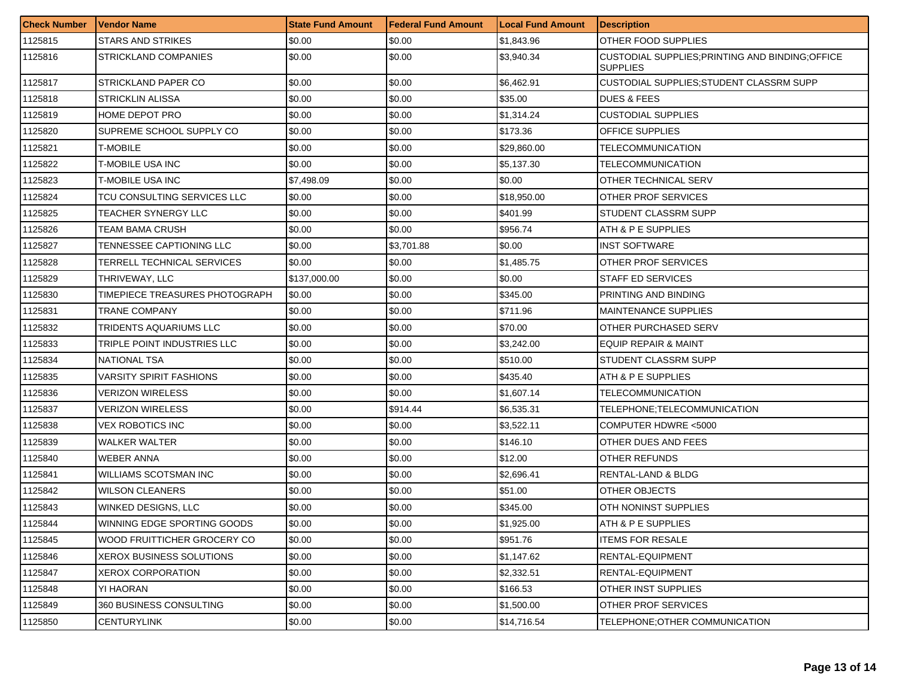| <b>Check Number</b> | <b>Vendor Name</b>             | <b>State Fund Amount</b> | Federal Fund Amount | <b>Local Fund Amount</b> | <b>Description</b>                                                  |
|---------------------|--------------------------------|--------------------------|---------------------|--------------------------|---------------------------------------------------------------------|
| 1125815             | <b>STARS AND STRIKES</b>       | \$0.00                   | \$0.00              | \$1,843.96               | OTHER FOOD SUPPLIES                                                 |
| 1125816             | <b>STRICKLAND COMPANIES</b>    | \$0.00                   | \$0.00              | \$3,940.34               | CUSTODIAL SUPPLIES; PRINTING AND BINDING; OFFICE<br><b>SUPPLIES</b> |
| 1125817             | STRICKLAND PAPER CO            | \$0.00                   | \$0.00              | \$6,462.91               | CUSTODIAL SUPPLIES; STUDENT CLASSRM SUPP                            |
| 1125818             | STRICKLIN ALISSA               | \$0.00                   | \$0.00              | \$35.00                  | <b>DUES &amp; FEES</b>                                              |
| 1125819             | <b>HOME DEPOT PRO</b>          | \$0.00                   | \$0.00              | \$1,314.24               | <b>CUSTODIAL SUPPLIES</b>                                           |
| 1125820             | SUPREME SCHOOL SUPPLY CO       | \$0.00                   | \$0.00              | \$173.36                 | OFFICE SUPPLIES                                                     |
| 1125821             | T-MOBILE                       | \$0.00                   | \$0.00              | \$29,860.00              | <b>TELECOMMUNICATION</b>                                            |
| 1125822             | T-MOBILE USA INC               | \$0.00                   | \$0.00              | \$5,137.30               | <b>TELECOMMUNICATION</b>                                            |
| 1125823             | T-MOBILE USA INC               | \$7,498.09               | \$0.00              | \$0.00                   | OTHER TECHNICAL SERV                                                |
| 1125824             | TCU CONSULTING SERVICES LLC    | \$0.00                   | \$0.00              | \$18,950.00              | OTHER PROF SERVICES                                                 |
| 1125825             | TEACHER SYNERGY LLC            | \$0.00                   | \$0.00              | \$401.99                 | STUDENT CLASSRM SUPP                                                |
| 1125826             | TEAM BAMA CRUSH                | \$0.00                   | \$0.00              | \$956.74                 | ATH & P E SUPPLIES                                                  |
| 1125827             | TENNESSEE CAPTIONING LLC       | \$0.00                   | \$3,701.88          | \$0.00                   | <b>INST SOFTWARE</b>                                                |
| 1125828             | TERRELL TECHNICAL SERVICES     | \$0.00                   | \$0.00              | \$1,485.75               | OTHER PROF SERVICES                                                 |
| 1125829             | THRIVEWAY, LLC                 | \$137,000.00             | \$0.00              | \$0.00                   | <b>STAFF ED SERVICES</b>                                            |
| 1125830             | TIMEPIECE TREASURES PHOTOGRAPH | \$0.00                   | \$0.00              | \$345.00                 | PRINTING AND BINDING                                                |
| 1125831             | TRANE COMPANY                  | \$0.00                   | \$0.00              | \$711.96                 | MAINTENANCE SUPPLIES                                                |
| 1125832             | TRIDENTS AQUARIUMS LLC         | \$0.00                   | \$0.00              | \$70.00                  | OTHER PURCHASED SERV                                                |
| 1125833             | TRIPLE POINT INDUSTRIES LLC    | \$0.00                   | \$0.00              | \$3,242.00               | <b>EQUIP REPAIR &amp; MAINT</b>                                     |
| 1125834             | <b>NATIONAL TSA</b>            | \$0.00                   | \$0.00              | \$510.00                 | STUDENT CLASSRM SUPP                                                |
| 1125835             | VARSITY SPIRIT FASHIONS        | \$0.00                   | \$0.00              | \$435.40                 | ATH & P E SUPPLIES                                                  |
| 1125836             | VERIZON WIRELESS               | \$0.00                   | \$0.00              | \$1,607.14               | TELECOMMUNICATION                                                   |
| 1125837             | VERIZON WIRELESS               | \$0.00                   | \$914.44            | \$6,535.31               | TELEPHONE;TELECOMMUNICATION                                         |
| 1125838             | VEX ROBOTICS INC               | \$0.00                   | \$0.00              | \$3,522.11               | COMPUTER HDWRE <5000                                                |
| 1125839             | <b>WALKER WALTER</b>           | \$0.00                   | \$0.00              | \$146.10                 | OTHER DUES AND FEES                                                 |
| 1125840             | <b>WEBER ANNA</b>              | \$0.00                   | \$0.00              | \$12.00                  | OTHER REFUNDS                                                       |
| 1125841             | WILLIAMS SCOTSMAN INC          | \$0.00                   | \$0.00              | \$2,696.41               | RENTAL-LAND & BLDG                                                  |
| 1125842             | <b>WILSON CLEANERS</b>         | \$0.00                   | \$0.00              | \$51.00                  | OTHER OBJECTS                                                       |
| 1125843             | <b>WINKED DESIGNS, LLC</b>     | \$0.00                   | \$0.00              | \$345.00                 | OTH NONINST SUPPLIES                                                |
| 1125844             | WINNING EDGE SPORTING GOODS    | \$0.00                   | \$0.00              | \$1,925.00               | ATH & P E SUPPLIES                                                  |
| 1125845             | WOOD FRUITTICHER GROCERY CO    | \$0.00                   | \$0.00              | \$951.76                 | <b>ITEMS FOR RESALE</b>                                             |
| 1125846             | XEROX BUSINESS SOLUTIONS       | \$0.00                   | \$0.00              | \$1,147.62               | RENTAL-EQUIPMENT                                                    |
| 1125847             | <b>XEROX CORPORATION</b>       | \$0.00                   | \$0.00              | \$2,332.51               | RENTAL-EQUIPMENT                                                    |
| 1125848             | YI HAORAN                      | \$0.00                   | \$0.00              | \$166.53                 | OTHER INST SUPPLIES                                                 |
| 1125849             | 360 BUSINESS CONSULTING        | \$0.00                   | \$0.00              | \$1,500.00               | OTHER PROF SERVICES                                                 |
| 1125850             | <b>CENTURYLINK</b>             | \$0.00                   | \$0.00              | \$14,716.54              | TELEPHONE; OTHER COMMUNICATION                                      |